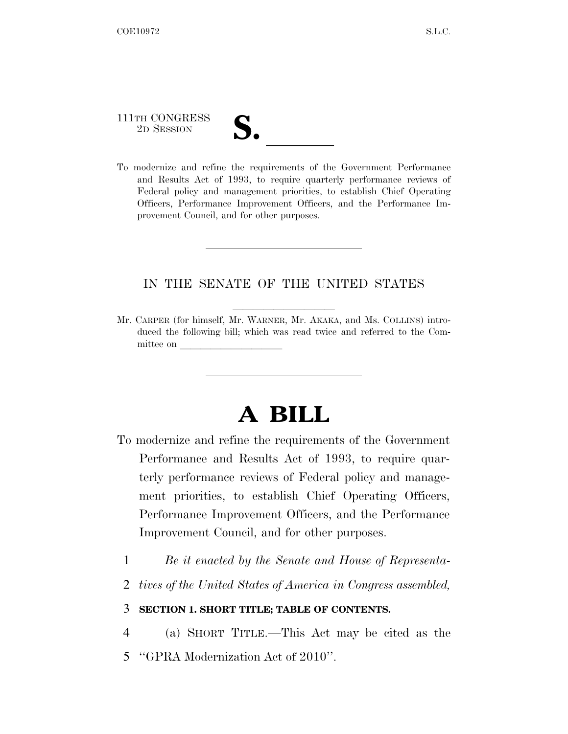111TH CONGRESS

111TH CONGRESS<br>
2D SESSION<br>
To modernize and refine the requirements of the Government Performance and Results Act of 1993, to require quarterly performance reviews of Federal policy and management priorities, to establish Chief Operating Officers, Performance Improvement Officers, and the Performance Improvement Council, and for other purposes.

### IN THE SENATE OF THE UNITED STATES

Mr. CARPER (for himself, Mr. WARNER, Mr. AKAKA, and Ms. COLLINS) introduced the following bill; which was read twice and referred to the Committee on

# **A BILL**

- To modernize and refine the requirements of the Government Performance and Results Act of 1993, to require quarterly performance reviews of Federal policy and management priorities, to establish Chief Operating Officers, Performance Improvement Officers, and the Performance Improvement Council, and for other purposes.
	- 1 *Be it enacted by the Senate and House of Representa-*
	- 2 *tives of the United States of America in Congress assembled,*

### 3 **SECTION 1. SHORT TITLE; TABLE OF CONTENTS.**

4 (a) SHORT TITLE.—This Act may be cited as the 5 ''GPRA Modernization Act of 2010''.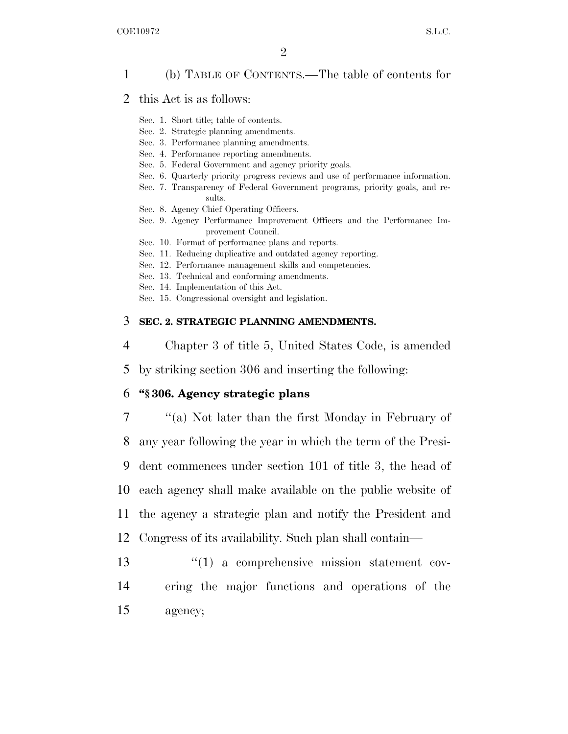### 1 (b) TABLE OF CONTENTS.—The table of contents for

- 2 this Act is as follows:
	- Sec. 1. Short title; table of contents.
	- Sec. 2. Strategic planning amendments.
	- Sec. 3. Performance planning amendments.
	- Sec. 4. Performance reporting amendments.
	- Sec. 5. Federal Government and agency priority goals.
	- Sec. 6. Quarterly priority progress reviews and use of performance information.
	- Sec. 7. Transparency of Federal Government programs, priority goals, and results.
	- Sec. 8. Agency Chief Operating Officers.
	- Sec. 9. Agency Performance Improvement Officers and the Performance Improvement Council.
	- Sec. 10. Format of performance plans and reports.
	- Sec. 11. Reducing duplicative and outdated agency reporting.
	- Sec. 12. Performance management skills and competencies.
	- Sec. 13. Technical and conforming amendments.
	- Sec. 14. Implementation of this Act.
	- Sec. 15. Congressional oversight and legislation.

#### 3 **SEC. 2. STRATEGIC PLANNING AMENDMENTS.**

4 Chapter 3 of title 5, United States Code, is amended

5 by striking section 306 and inserting the following:

### 6 **''§ 306. Agency strategic plans**

7 ''(a) Not later than the first Monday in February of

8 any year following the year in which the term of the Presi-

9 dent commences under section 101 of title 3, the head of

10 each agency shall make available on the public website of

11 the agency a strategic plan and notify the President and

- 12 Congress of its availability. Such plan shall contain—
- 13  $\frac{13}{2}$  (1) a comprehensive mission statement cov-14 ering the major functions and operations of the 15 agency;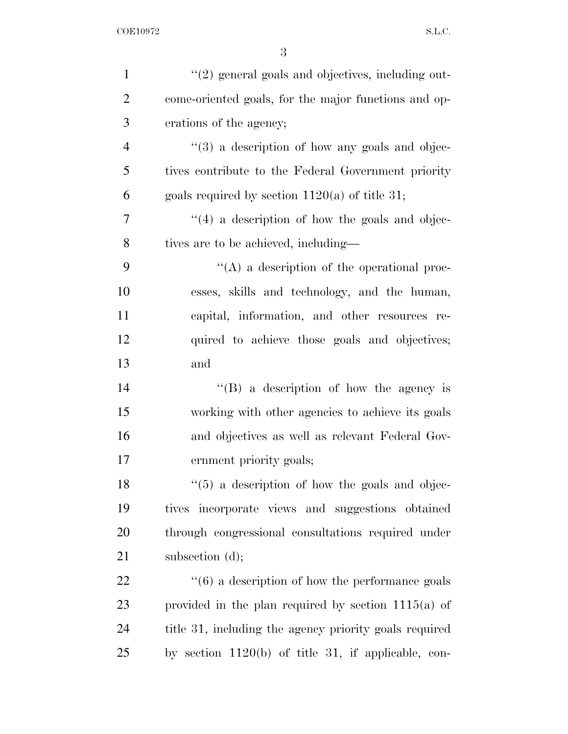| $\mathbf{1}$   | $"(2)$ general goals and objectives, including out-            |
|----------------|----------------------------------------------------------------|
| $\overline{2}$ | come-oriented goals, for the major functions and op-           |
| 3              | erations of the agency;                                        |
| $\overline{4}$ | $\cdot\cdot\cdot(3)$ a description of how any goals and objec- |
| 5              | tives contribute to the Federal Government priority            |
| 6              | goals required by section $1120(a)$ of title 31;               |
| $\overline{7}$ | "(4) a description of how the goals and objec-                 |
| 8              | tives are to be achieved, including—                           |
| 9              | "(A) a description of the operational proc-                    |
| 10             | esses, skills and technology, and the human,                   |
| 11             | capital, information, and other resources re-                  |
| 12             | quired to achieve those goals and objectives;                  |
| 13             | and                                                            |
| 14             | $\lq\lq (B)$ a description of how the agency is                |
| 15             | working with other agencies to achieve its goals               |
| 16             | and objectives as well as relevant Federal Gov-                |
| 17             | ernment priority goals;                                        |
| 18             | $\lq(5)$ a description of how the goals and objec-             |
| 19             | tives incorporate views and suggestions obtained               |
| 20             | through congressional consultations required under             |
| 21             | subsection $(d)$ ;                                             |
| 22             | $\cdot\cdot$ (6) a description of how the performance goals    |
| 23             | provided in the plan required by section $1115(a)$ of          |
| 24             | title 31, including the agency priority goals required         |
| 25             | by section $1120(b)$ of title 31, if applicable, con-          |
|                |                                                                |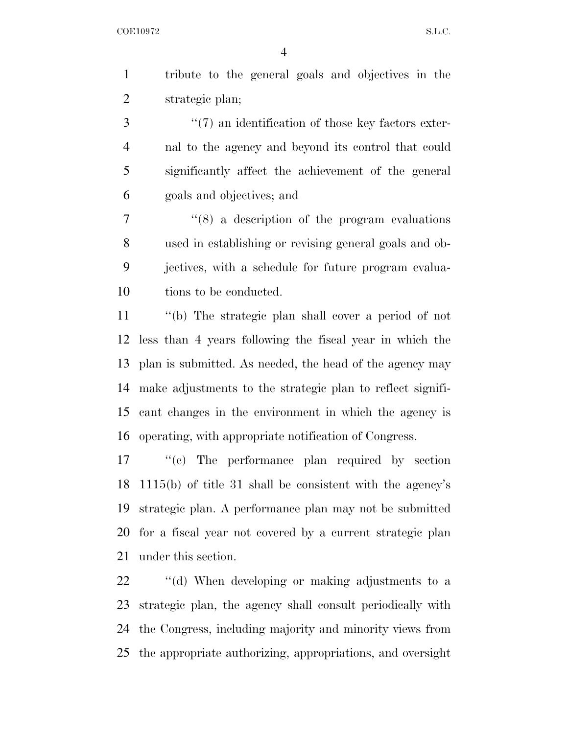tribute to the general goals and objectives in the strategic plan;

3 ''(7) an identification of those key factors exter- nal to the agency and beyond its control that could significantly affect the achievement of the general goals and objectives; and

 ''(8) a description of the program evaluations used in establishing or revising general goals and ob- jectives, with a schedule for future program evalua-tions to be conducted.

 ''(b) The strategic plan shall cover a period of not less than 4 years following the fiscal year in which the plan is submitted. As needed, the head of the agency may make adjustments to the strategic plan to reflect signifi- cant changes in the environment in which the agency is operating, with appropriate notification of Congress.

 ''(c) The performance plan required by section 1115(b) of title 31 shall be consistent with the agency's strategic plan. A performance plan may not be submitted for a fiscal year not covered by a current strategic plan under this section.

 ''(d) When developing or making adjustments to a strategic plan, the agency shall consult periodically with the Congress, including majority and minority views from the appropriate authorizing, appropriations, and oversight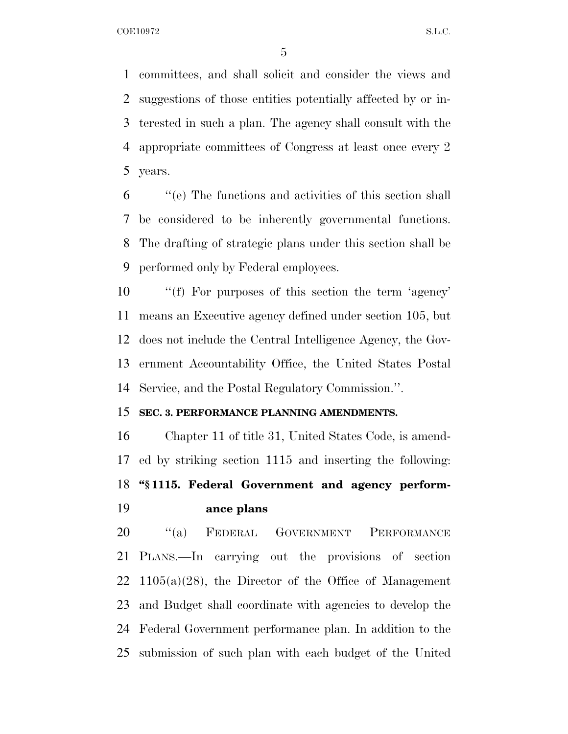committees, and shall solicit and consider the views and suggestions of those entities potentially affected by or in- terested in such a plan. The agency shall consult with the appropriate committees of Congress at least once every 2 years.

 ''(e) The functions and activities of this section shall be considered to be inherently governmental functions. The drafting of strategic plans under this section shall be performed only by Federal employees.

 ''(f) For purposes of this section the term 'agency' means an Executive agency defined under section 105, but does not include the Central Intelligence Agency, the Gov- ernment Accountability Office, the United States Postal Service, and the Postal Regulatory Commission.''.

### **SEC. 3. PERFORMANCE PLANNING AMENDMENTS.**

 Chapter 11 of title 31, United States Code, is amend- ed by striking section 1115 and inserting the following: **''§ 1115. Federal Government and agency perform-ance plans** 

20 "(a) FEDERAL GOVERNMENT PERFORMANCE PLANS.—In carrying out the provisions of section 22 1105(a)(28), the Director of the Office of Management and Budget shall coordinate with agencies to develop the Federal Government performance plan. In addition to the submission of such plan with each budget of the United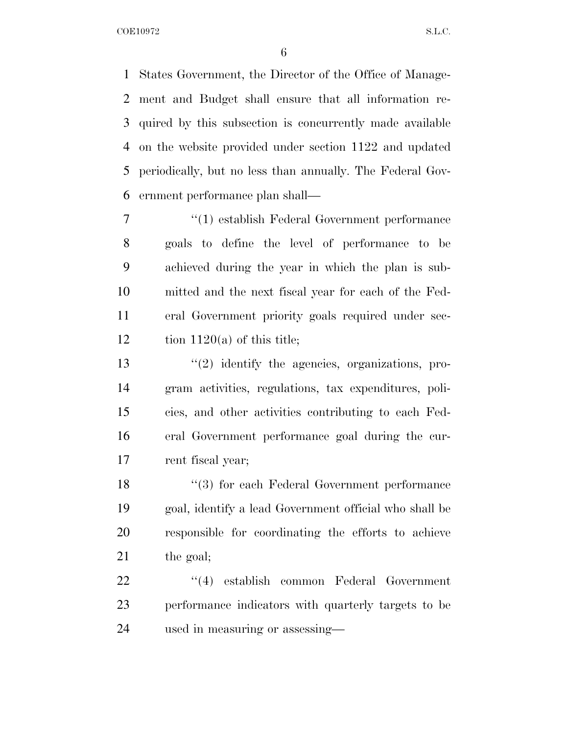States Government, the Director of the Office of Manage- ment and Budget shall ensure that all information re- quired by this subsection is concurrently made available on the website provided under section 1122 and updated periodically, but no less than annually. The Federal Gov-ernment performance plan shall—

 ''(1) establish Federal Government performance goals to define the level of performance to be achieved during the year in which the plan is sub- mitted and the next fiscal year for each of the Fed- eral Government priority goals required under sec-12 tion 1120(a) of this title;

 ''(2) identify the agencies, organizations, pro- gram activities, regulations, tax expenditures, poli- cies, and other activities contributing to each Fed- eral Government performance goal during the cur-rent fiscal year;

18 ''(3) for each Federal Government performance goal, identify a lead Government official who shall be responsible for coordinating the efforts to achieve 21 the goal;

22 ''(4) establish common Federal Government performance indicators with quarterly targets to be used in measuring or assessing—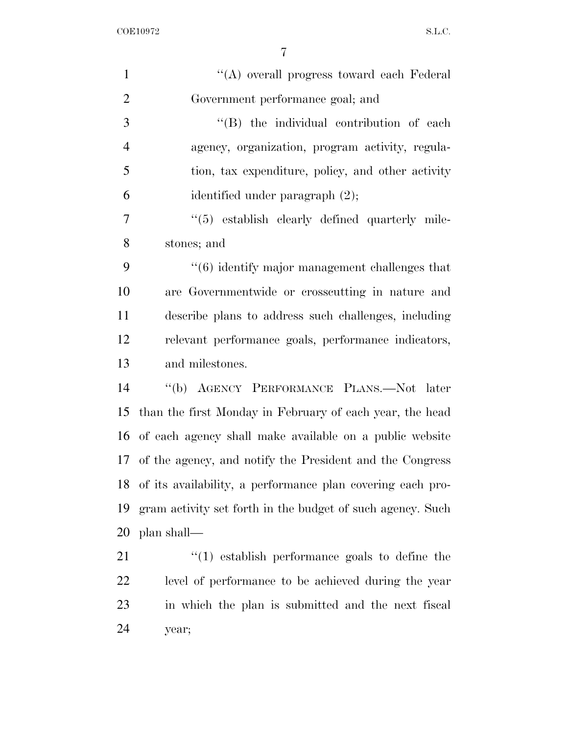| $\mathbf{1}$   | "(A) overall progress toward each Federal                   |
|----------------|-------------------------------------------------------------|
| $\overline{2}$ | Government performance goal; and                            |
| 3              | "(B) the individual contribution of each                    |
| $\overline{4}$ | agency, organization, program activity, regula-             |
| 5              | tion, tax expenditure, policy, and other activity           |
| 6              | identified under paragraph (2);                             |
| 7              | "(5) establish clearly defined quarterly mile-              |
| 8              | stones; and                                                 |
| 9              | $"(6)$ identify major management challenges that            |
| 10             | are Governmentwide or crosscutting in nature and            |
| 11             | describe plans to address such challenges, including        |
| 12             | relevant performance goals, performance indicators,         |
| 13             | and milestones.                                             |
| 14             | "(b) AGENCY PERFORMANCE PLANS.—Not later                    |
| 15             | than the first Monday in February of each year, the head    |
| 16             | of each agency shall make available on a public website     |
|                | 17 of the agency, and notify the President and the Congress |
| 18             | of its availability, a performance plan covering each pro-  |
| 19             | gram activity set forth in the budget of such agency. Such  |
| 20             | plan shall—                                                 |
| 21             | $\lq(1)$ establish performance goals to define the          |
| 22             | level of performance to be achieved during the year         |
| 23             | in which the plan is submitted and the next fiscal          |
|                |                                                             |

year;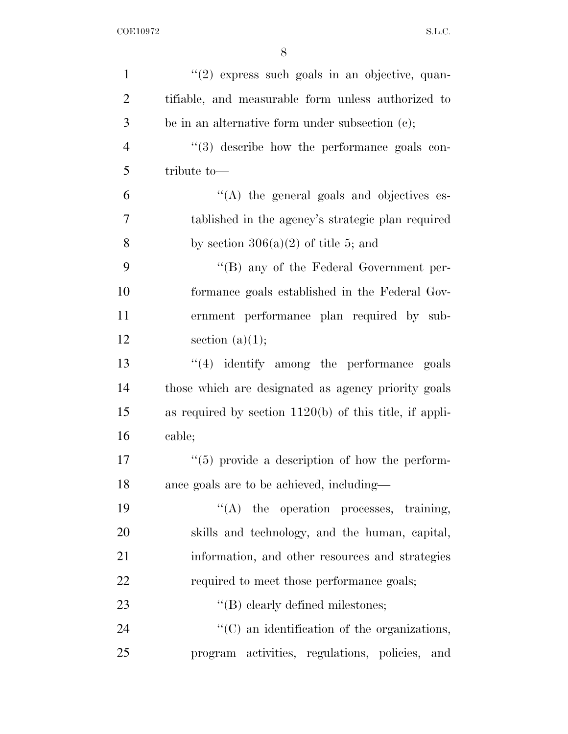| $\mathbf{1}$   | "(2) express such goals in an objective, quan-            |
|----------------|-----------------------------------------------------------|
| $\overline{2}$ | tifiable, and measurable form unless authorized to        |
| 3              | be in an alternative form under subsection $(c)$ ;        |
| $\overline{4}$ | "(3) describe how the performance goals con-              |
| 5              | tribute to-                                               |
| 6              | "(A) the general goals and objectives es-                 |
| 7              | tablished in the agency's strategic plan required         |
| 8              | by section $306(a)(2)$ of title 5; and                    |
| 9              | $\lq\lq (B)$ any of the Federal Government per-           |
| 10             | formance goals established in the Federal Gov-            |
| 11             | ernment performance plan required by sub-                 |
| 12             | section $(a)(1);$                                         |
| 13             | $\lq(4)$ identify among the performance goals             |
| 14             | those which are designated as agency priority goals       |
| 15             | as required by section $1120(b)$ of this title, if appli- |
| 16             | cable;                                                    |
| 17             | $\lq(5)$ provide a description of how the perform-        |
| 18             | ance goals are to be achieved, including—                 |
| 19             | $\lq\lq$ the operation processes, training,               |
| 20             | skills and technology, and the human, capital,            |
| 21             | information, and other resources and strategies           |
| 22             | required to meet those performance goals;                 |
| 23             | $\lq\lq$ elearly defined milestones;                      |
| 24             | "(C) an identification of the organizations,              |
| 25             | program activities, regulations, policies, and            |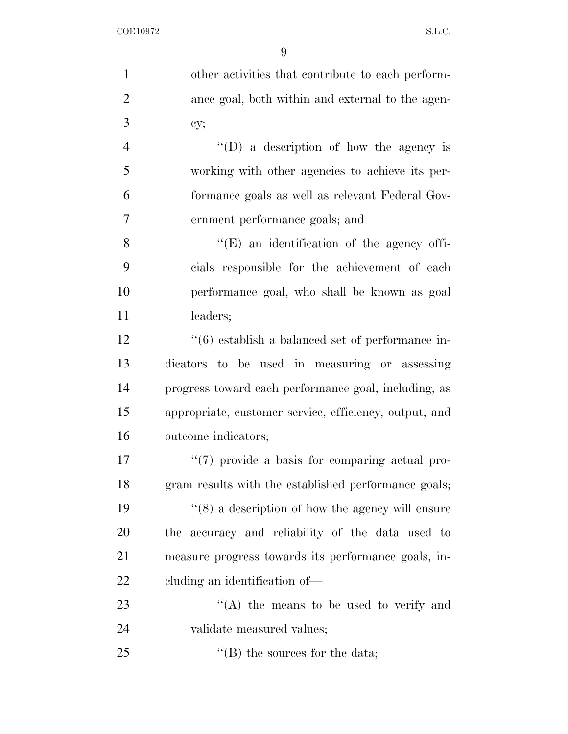other activities that contribute to each perform- ance goal, both within and external to the agen- cy; ''(D) a description of how the agency is

 working with other agencies to achieve its per- formance goals as well as relevant Federal Gov-ernment performance goals; and

8 ''(E) an identification of the agency offi- cials responsible for the achievement of each performance goal, who shall be known as goal 11 leaders;

12 ''(6) establish a balanced set of performance in- dicators to be used in measuring or assessing progress toward each performance goal, including, as appropriate, customer service, efficiency, output, and outcome indicators;

 $\frac{17}{2}$  (7) provide a basis for comparing actual pro- gram results with the established performance goals;  $\frac{1}{8}$  a description of how the agency will ensure the accuracy and reliability of the data used to measure progress towards its performance goals, in-cluding an identification of—

23 ''(A) the means to be used to verify and validate measured values;

25  $\text{``(B)}$  the sources for the data;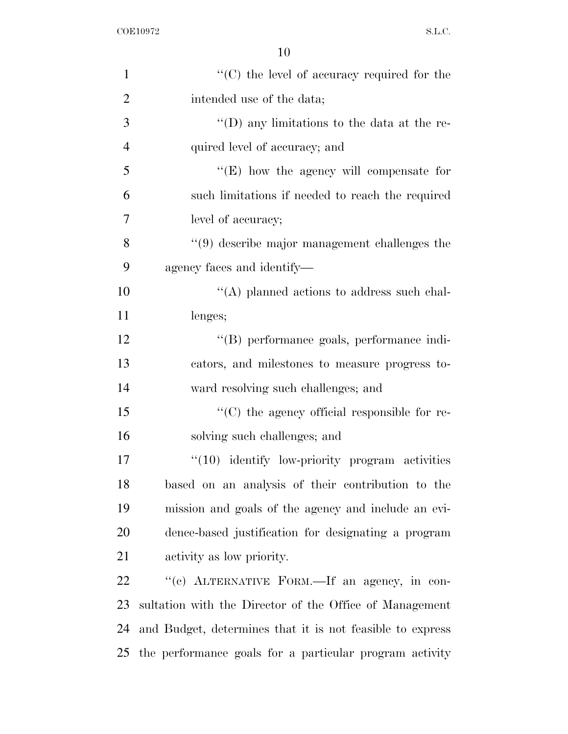| $\mathbf{1}$   | $\lq\lq$ (C) the level of accuracy required for the       |
|----------------|-----------------------------------------------------------|
| $\overline{2}$ | intended use of the data;                                 |
| 3              | $\lq\lq$ (D) any limitations to the data at the re-       |
| $\overline{4}$ | quired level of accuracy; and                             |
| 5              | " $(E)$ how the agency will compensate for                |
| 6              | such limitations if needed to reach the required          |
| $\overline{7}$ | level of accuracy;                                        |
| 8              | $\cdot$ (9) describe major management challenges the      |
| 9              | agency faces and identify-                                |
| 10             | $\lq\lq$ planned actions to address such chal-            |
| 11             | lenges;                                                   |
| 12             | "(B) performance goals, performance indi-                 |
| 13             | cators, and milestones to measure progress to-            |
| 14             | ward resolving such challenges; and                       |
| 15             | "(C) the agency official responsible for re-              |
| 16             | solving such challenges; and                              |
| 17             | $"(10)$ identify low-priority program activities          |
| 18             | based on an analysis of their contribution to the         |
| 19             | mission and goals of the agency and include an evi-       |
| 20             | dence-based justification for designating a program       |
| 21             | activity as low priority.                                 |
| 22             | "(c) ALTERNATIVE FORM.—If an agency, in con-              |
| 23             | sultation with the Director of the Office of Management   |
| 24             | and Budget, determines that it is not feasible to express |
| 25             | the performance goals for a particular program activity   |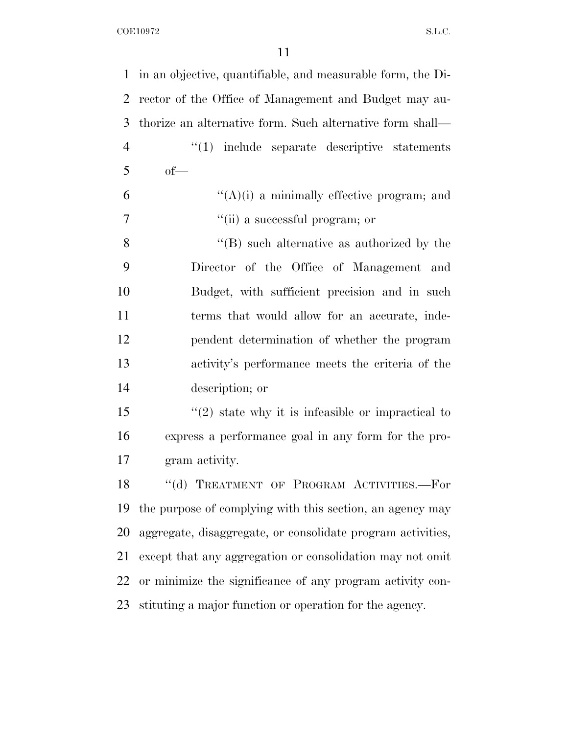| 1              | in an objective, quantifiable, and measurable form, the Di- |
|----------------|-------------------------------------------------------------|
| $\overline{2}$ | rector of the Office of Management and Budget may au-       |
| 3              | thorize an alternative form. Such alternative form shall—   |
| $\overline{4}$ | $"(1)$ include separate descriptive statements              |
| 5              | $of$ —                                                      |
| 6              | $\lq\lq(A)(i)$ a minimally effective program; and           |
| $\overline{7}$ | "(ii) a successful program; or                              |
| 8              | $\lq\lq (B)$ such alternative as authorized by the          |
| 9              | Director of the Office of Management and                    |
| 10             | Budget, with sufficient precision and in such               |
| 11             | terms that would allow for an accurate, inde-               |
| 12             | pendent determination of whether the program                |
| 13             | activity's performance meets the criteria of the            |
| 14             | description; or                                             |
| 15             | $\lq(2)$ state why it is infeasible or impractical to       |
| 16             | express a performance goal in any form for the pro-         |
| 17             | gram activity.                                              |
| 18             | "(d) TREATMENT OF PROGRAM ACTIVITIES.-For                   |
| 19             | the purpose of complying with this section, an agency may   |
| 20             | aggregate, disaggregate, or consolidate program activities, |
| 21             | except that any aggregation or consolidation may not omit   |
| 22             | or minimize the significance of any program activity con-   |
| 23             | stituting a major function or operation for the agency.     |
|                |                                                             |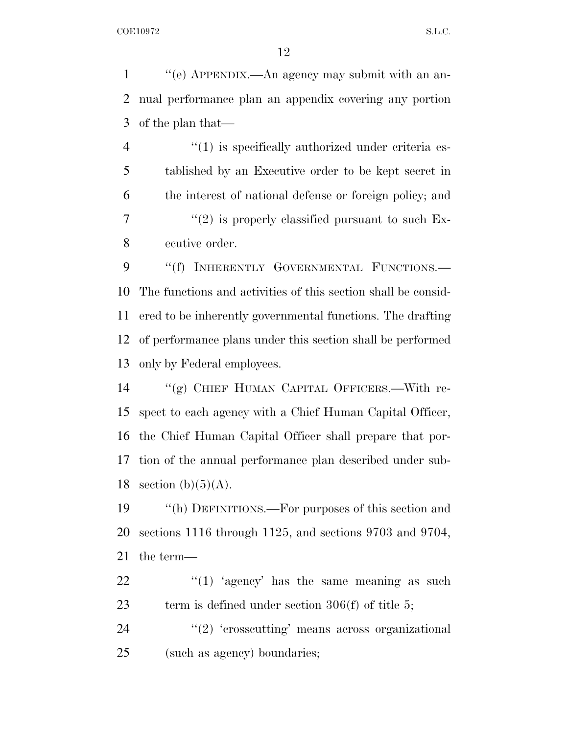''(e) APPENDIX.—An agency may submit with an an- nual performance plan an appendix covering any portion of the plan that—

 $\frac{4}{1}$  is specifically authorized under criteria es- tablished by an Executive order to be kept secret in the interest of national defense or foreign policy; and  $\frac{7}{2}$  ''(2) is properly classified pursuant to such Ex-ecutive order.

9 "(f) INHERENTLY GOVERNMENTAL FUNCTIONS.— The functions and activities of this section shall be consid- ered to be inherently governmental functions. The drafting of performance plans under this section shall be performed only by Federal employees.

 ''(g) CHIEF HUMAN CAPITAL OFFICERS.—With re- spect to each agency with a Chief Human Capital Officer, the Chief Human Capital Officer shall prepare that por- tion of the annual performance plan described under sub-18 section  $(b)(5)(A)$ .

 ''(h) DEFINITIONS.—For purposes of this section and sections 1116 through 1125, and sections 9703 and 9704, the term—

22  $\frac{1}{2}$   $\frac{1}{2}$   $\frac{1}{2}$  agency' has the same meaning as such term is defined under section 306(f) of title 5;

24  $\frac{u(2)}{2}$  'crosscutting' means across organizational (such as agency) boundaries;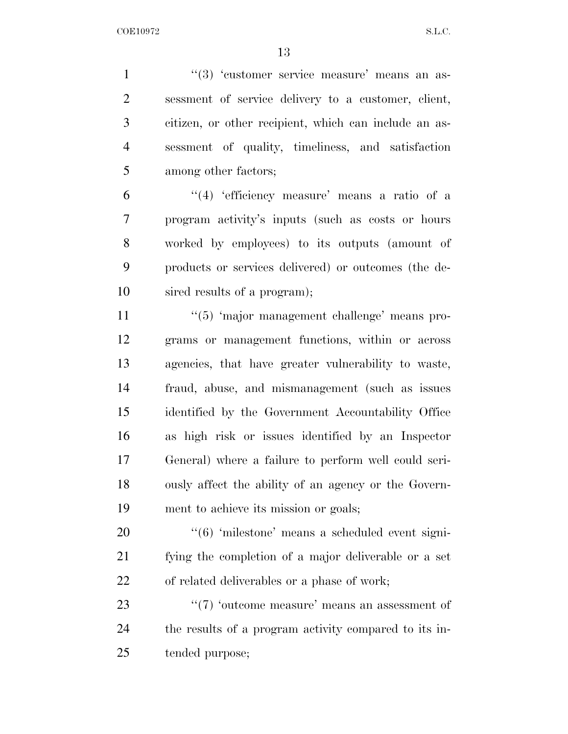1 ''(3) 'customer service measure' means an as- sessment of service delivery to a customer, client, citizen, or other recipient, which can include an as- sessment of quality, timeliness, and satisfaction among other factors;

 ''(4) 'efficiency measure' means a ratio of a program activity's inputs (such as costs or hours worked by employees) to its outputs (amount of products or services delivered) or outcomes (the de-sired results of a program);

 $\frac{1}{5}$  'major management challenge' means pro- grams or management functions, within or across agencies, that have greater vulnerability to waste, fraud, abuse, and mismanagement (such as issues identified by the Government Accountability Office as high risk or issues identified by an Inspector General) where a failure to perform well could seri- ously affect the ability of an agency or the Govern-ment to achieve its mission or goals;

20  $\frac{4}{6}$  milestone' means a scheduled event signi- fying the completion of a major deliverable or a set of related deliverables or a phase of work;

23  $\frac{1}{2}$   $\frac{1}{2}$  outcome measure' means an assessment of the results of a program activity compared to its in-tended purpose;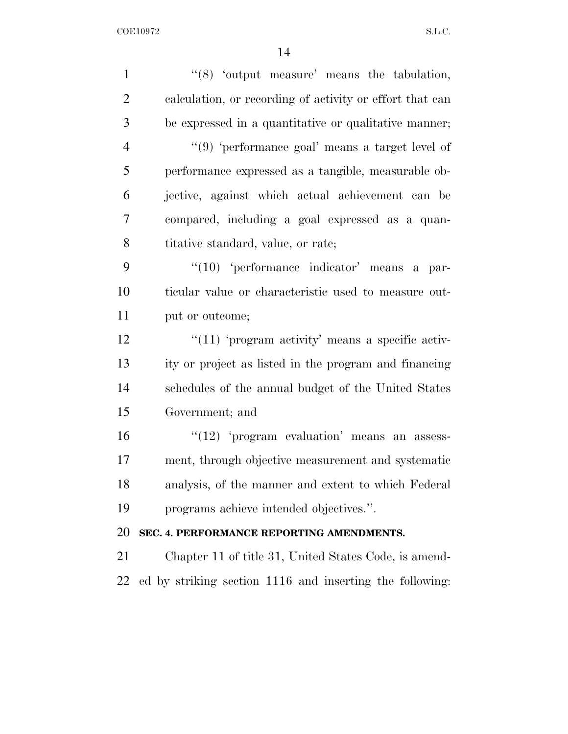| $\mathbf{1}$   | "(8) 'output measure' means the tabulation,              |
|----------------|----------------------------------------------------------|
| $\overline{2}$ | calculation, or recording of activity or effort that can |
| 3              | be expressed in a quantitative or qualitative manner;    |
| $\overline{4}$ | " $(9)$ 'performance goal' means a target level of       |
| 5              | performance expressed as a tangible, measurable ob-      |
| 6              | jective, against which actual achievement can be         |
| $\overline{7}$ | compared, including a goal expressed as a quan-          |
| 8              | titative standard, value, or rate;                       |
| 9              | $\lq(10)$ 'performance indicator' means a par-           |
| 10             | ticular value or characteristic used to measure out-     |
| 11             | put or outcome;                                          |
| 12             | " $(11)$ 'program activity' means a specific activ-      |
| 13             | ity or project as listed in the program and financing    |
| 14             | schedules of the annual budget of the United States      |
| 15             | Government; and                                          |
| 16             | " $(12)$ 'program evaluation' means an assess-           |
| 17             | ment, through objective measurement and systematic       |
| 18             | analysis, of the manner and extent to which Federal      |
| 19             | programs achieve intended objectives.".                  |
| 20             | SEC. 4. PERFORMANCE REPORTING AMENDMENTS.                |
| 21             | Chapter 11 of title 31, United States Code, is amend-    |
| 22             | ed by striking section 1116 and inserting the following: |
|                |                                                          |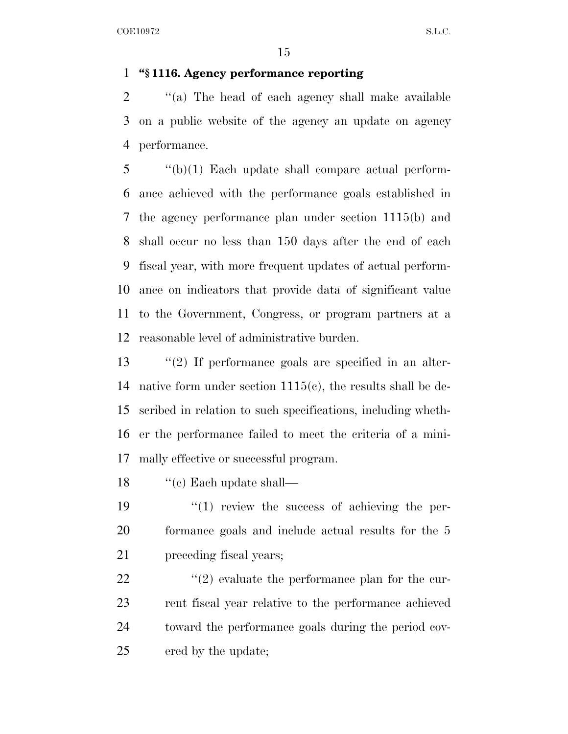### **''§ 1116. Agency performance reporting**

2  $\gamma$  (a) The head of each agency shall make available on a public website of the agency an update on agency performance.

 "(b)(1) Each update shall compare actual perform- ance achieved with the performance goals established in the agency performance plan under section 1115(b) and shall occur no less than 150 days after the end of each fiscal year, with more frequent updates of actual perform- ance on indicators that provide data of significant value to the Government, Congress, or program partners at a reasonable level of administrative burden.

 ''(2) If performance goals are specified in an alter- native form under section 1115(c), the results shall be de- scribed in relation to such specifications, including wheth- er the performance failed to meet the criteria of a mini-mally effective or successful program.

18  $\cdot$  "(c) Each update shall—

19  $\frac{1}{2}$  (1) review the success of achieving the per- formance goals and include actual results for the 5 preceding fiscal years;

 $\langle \cdot (2) \right)$  evaluate the performance plan for the cur- rent fiscal year relative to the performance achieved toward the performance goals during the period cov-ered by the update;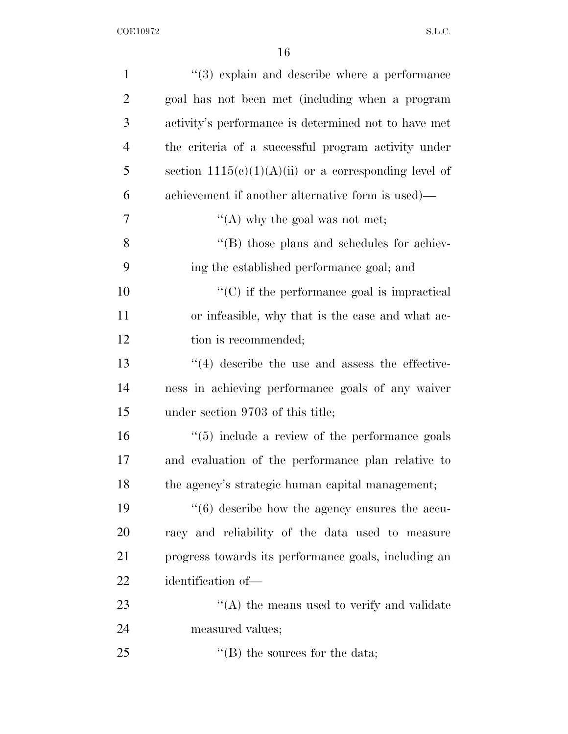| $\mathbf{1}$   | $(3)$ explain and describe where a performance                 |
|----------------|----------------------------------------------------------------|
| $\overline{2}$ | goal has not been met (including when a program                |
| 3              | activity's performance is determined not to have met           |
| 4              | the criteria of a successful program activity under            |
| 5              | section $1115(e)(1)(A)(ii)$ or a corresponding level of        |
| 6              | achievement if another alternative form is used)—              |
| 7              | "(A) why the goal was not met;                                 |
| 8              | "(B) those plans and schedules for achiev-                     |
| 9              | ing the established performance goal; and                      |
| 10             | $\lq\lq$ (C) if the performance goal is impractical            |
| 11             | or infeasible, why that is the case and what ac-               |
| 12             | tion is recommended;                                           |
| 13             | $\lq(4)$ describe the use and assess the effective-            |
| 14             | ness in achieving performance goals of any waiver              |
| 15             | under section 9703 of this title;                              |
| 16             | $\cdot\cdot$ (5) include a review of the performance goals     |
| 17             | and evaluation of the performance plan relative to             |
| 18             | the agency's strategic human capital management;               |
| 19             | $\cdot\cdot\cdot(6)$ describe how the agency ensures the accu- |
| 20             | racy and reliability of the data used to measure               |
| 21             | progress towards its performance goals, including an           |
| 22             | identification of-                                             |
| 23             | $\lq\lq$ the means used to verify and validate                 |
| 24             | measured values;                                               |
| 25             | $\lq\lq$ (B) the sources for the data;                         |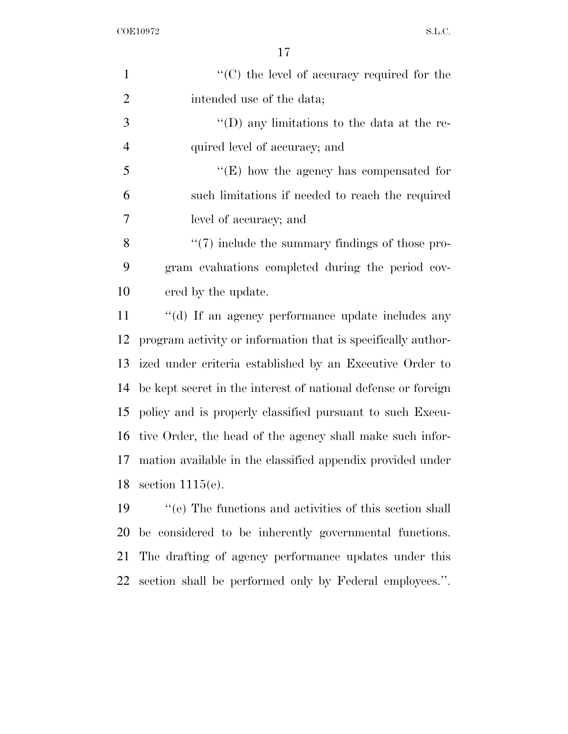$\begin{minipage}{.4\linewidth} \textbf{COE10972} & \textbf{S.L.C.} \end{minipage}$ 

| $\mathbf{1}$   | $\lq\lq$ (C) the level of accuracy required for the           |
|----------------|---------------------------------------------------------------|
| $\overline{2}$ | intended use of the data;                                     |
| 3              | $\lq\lq$ (D) any limitations to the data at the re-           |
| $\overline{4}$ | quired level of accuracy; and                                 |
| 5              | $\lq\lq(E)$ how the agency has compensated for                |
| 6              | such limitations if needed to reach the required              |
| 7              | level of accuracy; and                                        |
| 8              | $\lq(7)$ include the summary findings of those pro-           |
| 9              | gram evaluations completed during the period cov-             |
| 10             | ered by the update.                                           |
| 11             | "(d) If an agency performance update includes any             |
| 12             | program activity or information that is specifically author-  |
| 13             | ized under criteria established by an Executive Order to      |
| 14             | be kept secret in the interest of national defense or foreign |
| 15             | policy and is properly classified pursuant to such Execu-     |
| 16             | tive Order, the head of the agency shall make such infor-     |
| 17             | mation available in the classified appendix provided under    |
| 18             | section $1115(e)$ .                                           |
| 19             | "(e) The functions and activities of this section shall       |
| 20             | be considered to be inherently governmental functions.        |
| 21             | The drafting of agency performance updates under this         |

section shall be performed only by Federal employees.''.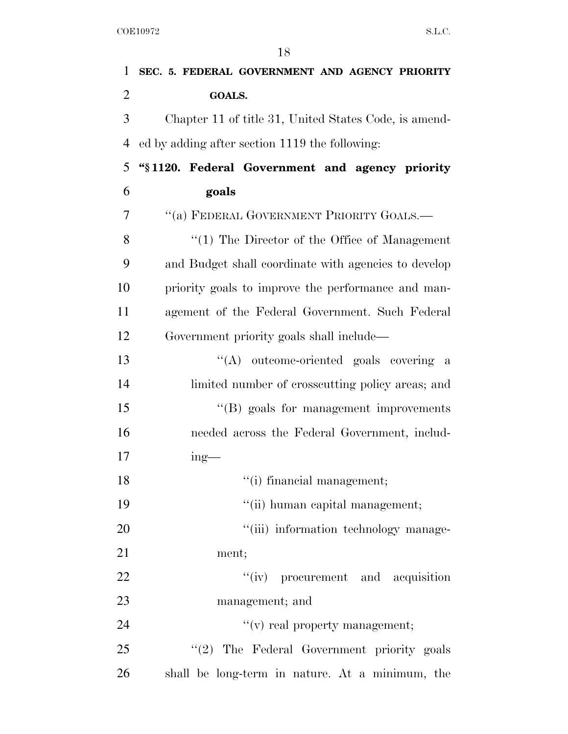| $\mathbf{1}$   | SEC. 5. FEDERAL GOVERNMENT AND AGENCY PRIORITY        |
|----------------|-------------------------------------------------------|
| $\overline{2}$ | <b>GOALS.</b>                                         |
| 3              | Chapter 11 of title 31, United States Code, is amend- |
| 4              | ed by adding after section 1119 the following:        |
| 5              | "§1120. Federal Government and agency priority        |
| 6              | goals                                                 |
| 7              | "(a) FEDERAL GOVERNMENT PRIORITY GOALS.—              |
| 8              | $\lq(1)$ The Director of the Office of Management     |
| 9              | and Budget shall coordinate with agencies to develop  |
| 10             | priority goals to improve the performance and man-    |
| 11             | agement of the Federal Government. Such Federal       |
| 12             | Government priority goals shall include—              |
| 13             | "(A) outcome-oriented goals covering a                |
| 14             | limited number of crosscutting policy areas; and      |
| 15             | $\lq\lq (B)$ goals for management improvements        |
| 16             | needed across the Federal Government, includ-         |
| 17             | $ing$ —                                               |
| 18             | "(i) financial management;                            |
| 19             | "(ii) human capital management;                       |
| 20             | "(iii) information technology manage-                 |
| 21             | ment;                                                 |
| 22             | "(iv) procurement and acquisition                     |
| 23             | management; and                                       |
| 24             | $f'(v)$ real property management;                     |
| 25             | "(2) The Federal Government priority goals            |
| 26             | shall be long-term in nature. At a minimum, the       |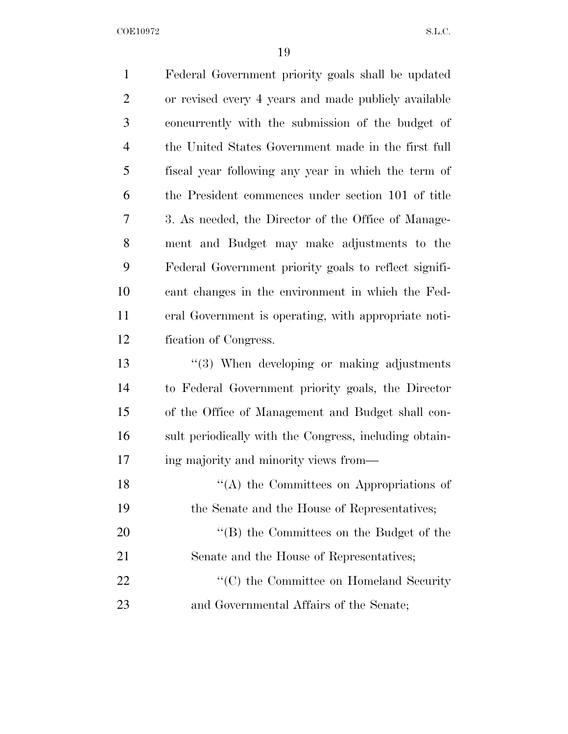$\begin{minipage}{.4\linewidth} \textbf{COE10972} & \textbf{S.L.C.} \end{minipage}$ 

| $\mathbf{1}$   | Federal Government priority goals shall be updated     |
|----------------|--------------------------------------------------------|
| $\overline{2}$ | or revised every 4 years and made publicly available   |
| 3              | concurrently with the submission of the budget of      |
| $\overline{4}$ | the United States Government made in the first full    |
| 5              | fiscal year following any year in which the term of    |
| 6              | the President commences under section 101 of title     |
| 7              | 3. As needed, the Director of the Office of Manage-    |
| 8              | ment and Budget may make adjustments to the            |
| 9              | Federal Government priority goals to reflect signifi-  |
| 10             | cant changes in the environment in which the Fed-      |
| 11             | eral Government is operating, with appropriate noti-   |
| 12             | fication of Congress.                                  |
| 13             | $\cdot$ (3) When developing or making adjustments      |
| 14             | to Federal Government priority goals, the Director     |
| 15             | of the Office of Management and Budget shall con-      |
| 16             | sult periodically with the Congress, including obtain- |
| 17             | ing majority and minority views from—                  |
| 18             | $\lq\lq$ the Committees on Appropriations of           |
| 19             | the Senate and the House of Representatives;           |
| 20             | "(B) the Committees on the Budget of the               |
| 21             | Senate and the House of Representatives;               |
| 22             | "(C) the Committee on Homeland Security"               |
| 23             | and Governmental Affairs of the Senate;                |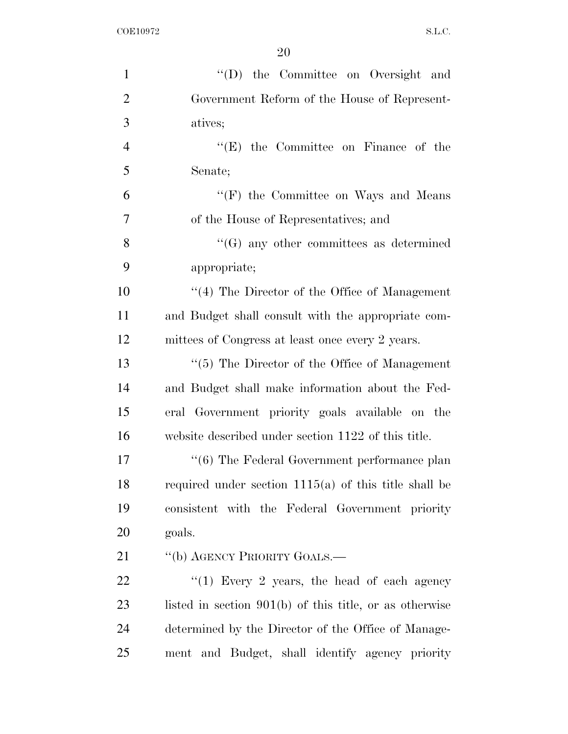| $\mathbf{1}$   | "(D) the Committee on Oversight and                       |
|----------------|-----------------------------------------------------------|
| $\overline{2}$ | Government Reform of the House of Represent-              |
| 3              | atives;                                                   |
| $\overline{4}$ | $\lq\lq$ the Committee on Finance of the                  |
| 5              | Senate;                                                   |
| 6              | "(F) the Committee on Ways and Means                      |
| $\overline{7}$ | of the House of Representatives; and                      |
| 8              | $\lq\lq(G)$ any other committees as determined            |
| 9              | appropriate;                                              |
| 10             | $\lq(4)$ The Director of the Office of Management         |
| 11             | and Budget shall consult with the appropriate com-        |
| 12             | mittees of Congress at least once every 2 years.          |
| 13             | $\lq(5)$ The Director of the Office of Management         |
| 14             | and Budget shall make information about the Fed-          |
| 15             | eral Government priority goals available on the           |
| 16             | website described under section 1122 of this title.       |
| 17             | $``(6)$ The Federal Government performance plan           |
| 18             | required under section $1115(a)$ of this title shall be   |
| 19             | consistent with the Federal Government priority           |
| 20             | goals.                                                    |
| 21             | "(b) AGENCY PRIORITY GOALS.—                              |
| 22             | " $(1)$ Every 2 years, the head of each agency            |
| 23             | listed in section $901(b)$ of this title, or as otherwise |
| 24             | determined by the Director of the Office of Manage-       |
| 25             | ment and Budget, shall identify agency priority           |
|                |                                                           |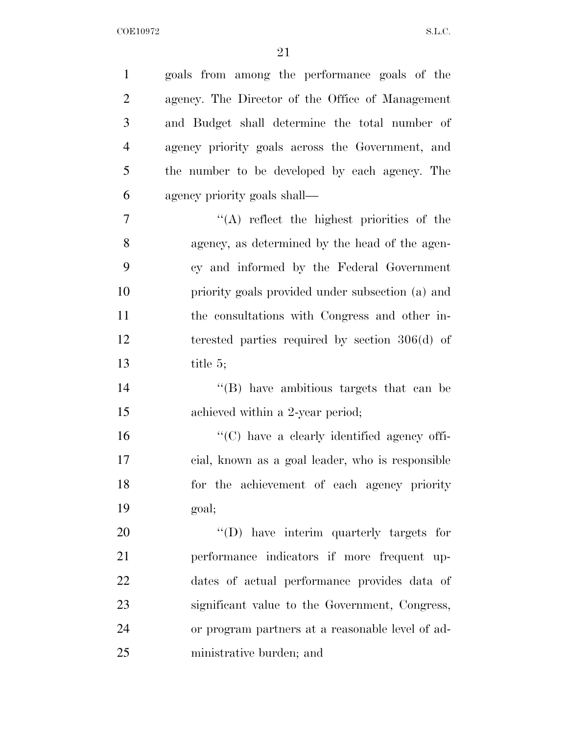| $\mathbf{1}$   | goals from among the performance goals of the       |
|----------------|-----------------------------------------------------|
| $\overline{2}$ | agency. The Director of the Office of Management    |
| 3              | and Budget shall determine the total number of      |
| $\overline{4}$ | agency priority goals across the Government, and    |
| 5              | the number to be developed by each agency. The      |
| 6              | agency priority goals shall—                        |
| 7              | "(A) reflect the highest priorities of the          |
| 8              | agency, as determined by the head of the agen-      |
| 9              | cy and informed by the Federal Government           |
| 10             | priority goals provided under subsection (a) and    |
| 11             | the consultations with Congress and other in-       |
| 12             | terested parties required by section $306(d)$ of    |
| 13             | title 5;                                            |
| 14             | $\cdot$ (B) have ambitious targets that can be      |
| 15             | achieved within a 2-year period;                    |
| 16             | $\lq\lq$ (C) have a clearly identified agency offi- |
| 17             | cial, known as a goal leader, who is responsible    |
| 18             | for the achievement of each agency priority         |
| 19             | goal;                                               |
| 20             | "(D) have interim quarterly targets for             |
| 21             | performance indicators if more frequent up-         |
| 22             | dates of actual performance provides data of        |
| 23             | significant value to the Government, Congress,      |
| 24             | or program partners at a reasonable level of ad-    |
| 25             | ministrative burden; and                            |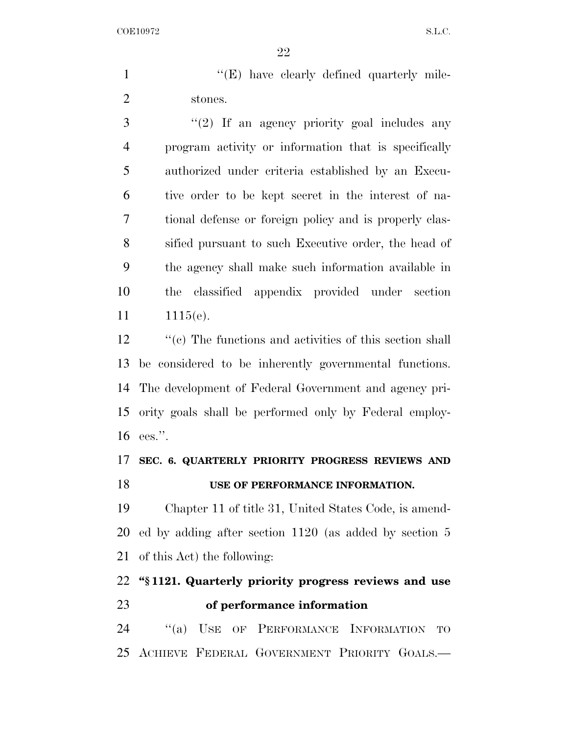1 ''(E) have clearly defined quarterly mile-stones.

 ''(2) If an agency priority goal includes any program activity or information that is specifically authorized under criteria established by an Execu- tive order to be kept secret in the interest of na- tional defense or foreign policy and is properly clas- sified pursuant to such Executive order, the head of the agency shall make such information available in the classified appendix provided under section 11 1115(e).

12 ''(c) The functions and activities of this section shall be considered to be inherently governmental functions. The development of Federal Government and agency pri- ority goals shall be performed only by Federal employ-ees.''.

### **SEC. 6. QUARTERLY PRIORITY PROGRESS REVIEWS AND USE OF PERFORMANCE INFORMATION.**

 Chapter 11 of title 31, United States Code, is amend- ed by adding after section 1120 (as added by section 5 of this Act) the following:

## **''§ 1121. Quarterly priority progress reviews and use of performance information**

24 "(a) USE OF PERFORMANCE INFORMATION TO ACHIEVE FEDERAL GOVERNMENT PRIORITY GOALS.—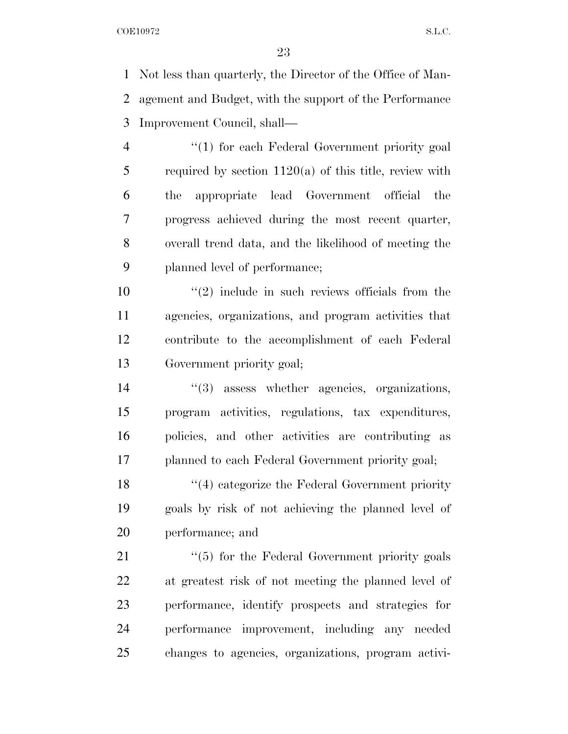Not less than quarterly, the Director of the Office of Man- agement and Budget, with the support of the Performance Improvement Council, shall—

4 "(1) for each Federal Government priority goal required by section 1120(a) of this title, review with the appropriate lead Government official the progress achieved during the most recent quarter, overall trend data, and the likelihood of meeting the planned level of performance;

 $\frac{10}{2}$  ''(2) include in such reviews officials from the agencies, organizations, and program activities that contribute to the accomplishment of each Federal Government priority goal;

 ''(3) assess whether agencies, organizations, program activities, regulations, tax expenditures, policies, and other activities are contributing as planned to each Federal Government priority goal;

18 ''(4) categorize the Federal Government priority goals by risk of not achieving the planned level of performance; and

21 ''(5) for the Federal Government priority goals at greatest risk of not meeting the planned level of performance, identify prospects and strategies for performance improvement, including any needed changes to agencies, organizations, program activi-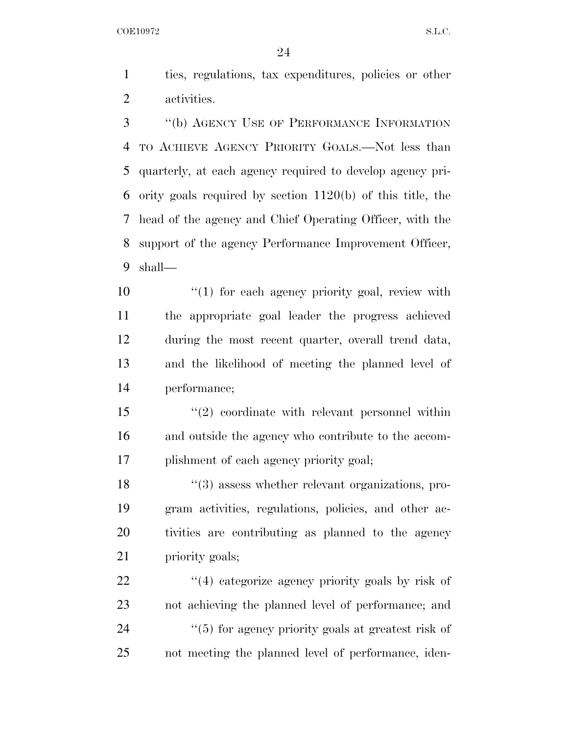ties, regulations, tax expenditures, policies or other activities.

 ''(b) AGENCY USE OF PERFORMANCE INFORMATION TO ACHIEVE AGENCY PRIORITY GOALS.—Not less than quarterly, at each agency required to develop agency pri- ority goals required by section 1120(b) of this title, the head of the agency and Chief Operating Officer, with the support of the agency Performance Improvement Officer, shall—

 $\frac{1}{2}$  (1) for each agency priority goal, review with the appropriate goal leader the progress achieved during the most recent quarter, overall trend data, and the likelihood of meeting the planned level of performance;

 ''(2) coordinate with relevant personnel within and outside the agency who contribute to the accom-plishment of each agency priority goal;

18 ''(3) assess whether relevant organizations, pro- gram activities, regulations, policies, and other ac- tivities are contributing as planned to the agency priority goals;

22 ''(4) categorize agency priority goals by risk of not achieving the planned level of performance; and  $(5)$  for agency priority goals at greatest risk of not meeting the planned level of performance, iden-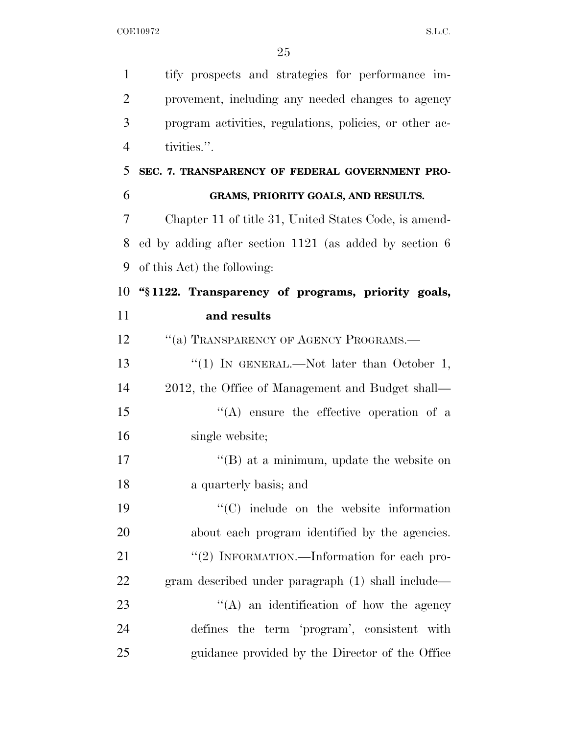| $\mathbf{1}$   | tify prospects and strategies for performance im-        |
|----------------|----------------------------------------------------------|
| $\overline{2}$ | provement, including any needed changes to agency        |
| 3              | program activities, regulations, policies, or other ac-  |
| $\overline{4}$ | tivities.".                                              |
| 5              | SEC. 7. TRANSPARENCY OF FEDERAL GOVERNMENT PRO-          |
| 6              | GRAMS, PRIORITY GOALS, AND RESULTS.                      |
| 7              | Chapter 11 of title 31, United States Code, is amend-    |
| 8              | ed by adding after section $1121$ (as added by section 6 |
| 9              | of this Act) the following:                              |
| 10             | "\\$1122. Transparency of programs, priority goals,      |
| 11             | and results                                              |
| 12             | "(a) TRANSPARENCY OF AGENCY PROGRAMS.-                   |
| 13             | "(1) IN GENERAL.—Not later than October 1,               |
| 14             | 2012, the Office of Management and Budget shall—         |
| 15             | $\lq\lq$ ensure the effective operation of a             |
| 16             | single website;                                          |
| 17             | $\lq\lq$ (B) at a minimum, update the website on         |
| 18             | a quarterly basis; and                                   |
| 19             | "(C) include on the website information                  |
| 20             | about each program identified by the agencies.           |
| 21             | "(2) INFORMATION.—Information for each pro-              |
| 22             | gram described under paragraph (1) shall include—        |
| 23             | $\lq\lq$ an identification of how the agency             |
| 24             | defines the term 'program', consistent with              |
| 25             | guidance provided by the Director of the Office          |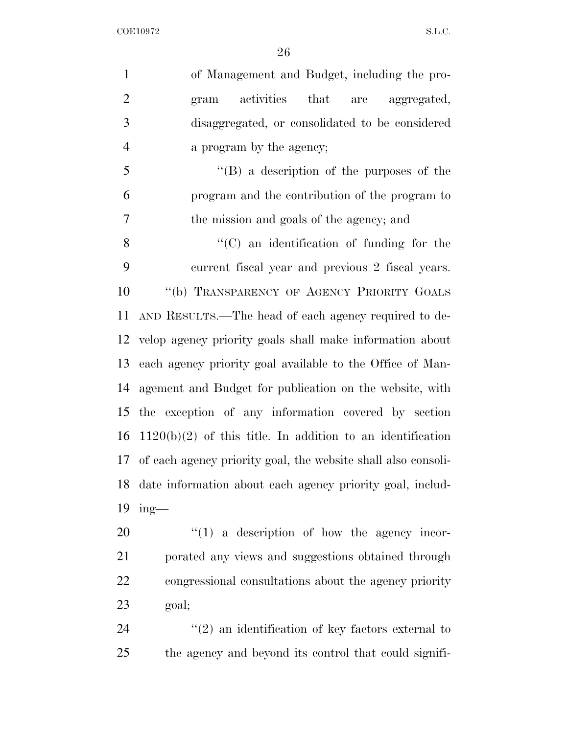| $\mathbf{1}$   | of Management and Budget, including the pro-                     |
|----------------|------------------------------------------------------------------|
| $\mathbf{2}$   | activities that are aggregated,<br>gram                          |
| 3              | disaggregated, or consolidated to be considered                  |
| $\overline{4}$ | a program by the agency;                                         |
| 5              | $\lq\lq (B)$ a description of the purposes of the                |
| 6              | program and the contribution of the program to                   |
| 7              | the mission and goals of the agency; and                         |
| 8              | "(C) an identification of funding for the                        |
| 9              | current fiscal year and previous 2 fiscal years.                 |
| 10             | "(b) TRANSPARENCY OF AGENCY PRIORITY GOALS                       |
| 11             | AND RESULTS.—The head of each agency required to de-             |
|                | 12 velop agency priority goals shall make information about      |
| 13             | each agency priority goal available to the Office of Man-        |
| 14             | agement and Budget for publication on the website, with          |
| 15             | the exception of any information covered by section              |
| 16             | $1120(b)(2)$ of this title. In addition to an identification     |
|                | 17 of each agency priority goal, the website shall also consoli- |
| 18             | date information about each agency priority goal, includ-        |
| 19             | $ing$ —                                                          |
| 20             | $\lq(1)$ a description of how the agency incor-                  |
| 21             | porated any views and suggestions obtained through               |
| <u>22</u>      | congressional consultations about the agency priority            |
| 23             | goal;                                                            |
| 24             | $\lq(2)$ an identification of key factors external to            |
| 25             | the agency and beyond its control that could signifi-            |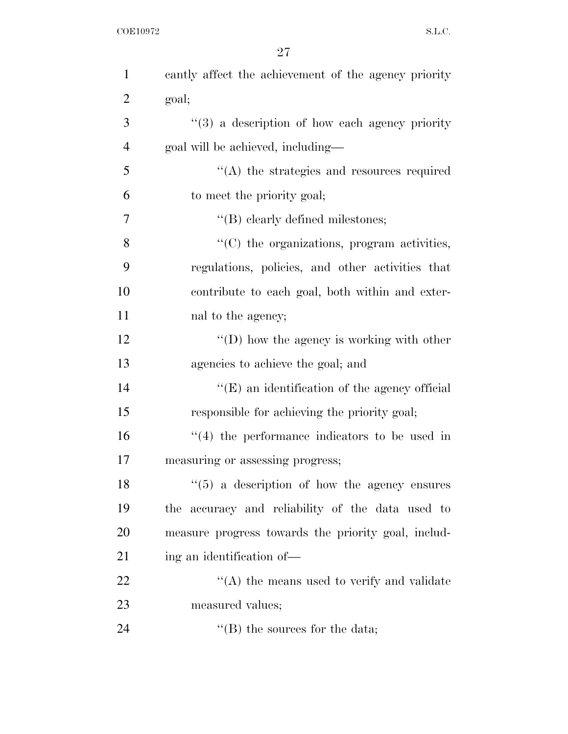$\begin{minipage}{.4\linewidth} \textbf{COE10972} & \textbf{S.L.C.} \end{minipage}$ 

| $\mathbf{1}$   | cantly affect the achievement of the agency priority           |
|----------------|----------------------------------------------------------------|
| $\overline{2}$ | goal;                                                          |
| 3              | $(3)$ a description of how each agency priority                |
| $\overline{4}$ | goal will be achieved, including—                              |
| 5              | $\lq\lq$ the strategies and resources required                 |
| 6              | to meet the priority goal;                                     |
| 7              | "(B) clearly defined milestones;                               |
| 8              | $\lq\lq$ <sup>(C)</sup> the organizations, program activities, |
| 9              | regulations, policies, and other activities that               |
| 10             | contribute to each goal, both within and exter-                |
| 11             | nal to the agency;                                             |
| 12             | $\lq\lq$ (D) how the agency is working with other              |
| 13             | agencies to achieve the goal; and                              |
| 14             | $\lq\lq$ (E) an identification of the agency official          |
| 15             | responsible for achieving the priority goal;                   |
| 16             | $(4)$ the performance indicators to be used in                 |
| 17             | measuring or assessing progress;                               |
| 18             | $(5)$ a description of how the agency ensures                  |
| 19             | the accuracy and reliability of the data used to               |
| 20             | measure progress towards the priority goal, includ-            |
| 21             | ing an identification of—                                      |
| 22             | $\lq\lq$ the means used to verify and validate                 |
| 23             | measured values;                                               |
| 24             | $\lq$ (B) the sources for the data;                            |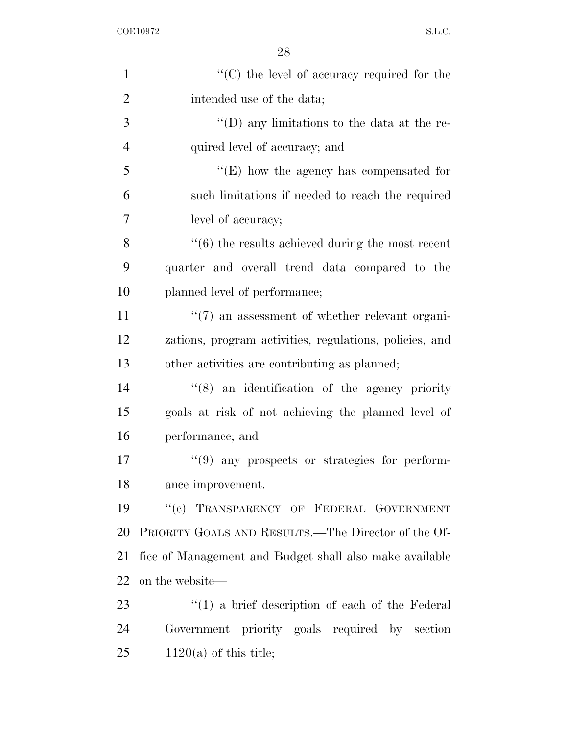| $\mathbf{1}$   | $\lq\lq$ (C) the level of accuracy required for the              |
|----------------|------------------------------------------------------------------|
| $\overline{2}$ | intended use of the data;                                        |
| 3              | "(D) any limitations to the data at the re-                      |
| $\overline{4}$ | quired level of accuracy; and                                    |
| 5              | $\lq\lq(E)$ how the agency has compensated for                   |
| 6              | such limitations if needed to reach the required                 |
| 7              | level of accuracy;                                               |
| 8              | $\cdot\cdot\cdot(6)$ the results achieved during the most recent |
| 9              | quarter and overall trend data compared to the                   |
| 10             | planned level of performance;                                    |
| 11             | $\lq(7)$ an assessment of whether relevant organi-               |
| 12             | zations, program activities, regulations, policies, and          |
| 13             | other activities are contributing as planned;                    |
| 14             | $\cdot$ (8) an identification of the agency priority             |
| 15             | goals at risk of not achieving the planned level of              |
| 16             | performance; and                                                 |
| 17             | $\lq(9)$ any prospects or strategies for perform-                |
| 18             | ance improvement.                                                |
| 19             | "(c) TRANSPARENCY OF FEDERAL GOVERNMENT                          |
| 20             | PRIORITY GOALS AND RESULTS.—The Director of the Of-              |
| 21             | fice of Management and Budget shall also make available          |
| 22             | on the website—                                                  |
| 23             | $\lq(1)$ a brief description of each of the Federal              |
| 24             | Government priority goals required by section                    |
| 25             | $1120(a)$ of this title;                                         |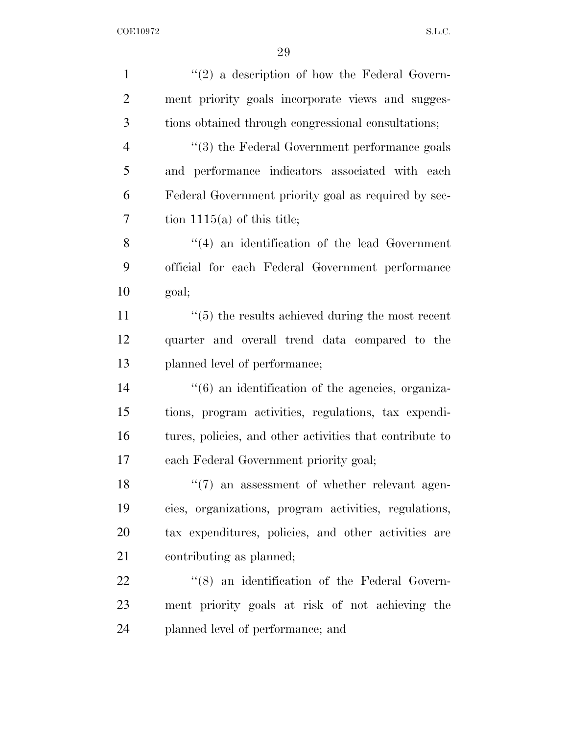| $\mathbf{1}$   | $"(2)$ a description of how the Federal Govern-               |
|----------------|---------------------------------------------------------------|
| $\overline{2}$ | ment priority goals incorporate views and sugges-             |
| 3              | tions obtained through congressional consultations;           |
| $\overline{4}$ | "(3) the Federal Government performance goals                 |
| 5              | and performance indicators associated with each               |
| 6              | Federal Government priority goal as required by sec-          |
| 7              | tion $1115(a)$ of this title;                                 |
| 8              | $\lq(4)$ an identification of the lead Government             |
| 9              | official for each Federal Government performance              |
| 10             | goal;                                                         |
| 11             | $\cdot\cdot$ (5) the results achieved during the most recent  |
| 12             | quarter and overall trend data compared to the                |
| 13             | planned level of performance;                                 |
| 14             | $\cdot\cdot$ (6) an identification of the agencies, organiza- |
| 15             | tions, program activities, regulations, tax expendi-          |
| 16             | tures, policies, and other activities that contribute to      |
| 17             | each Federal Government priority goal;                        |
| 18             | $\lq(7)$ an assessment of whether relevant agen-              |
| 19             | cies, organizations, program activities, regulations,         |
| 20             | tax expenditures, policies, and other activities are          |
| 21             | contributing as planned;                                      |
| 22             | "(8) an identification of the Federal Govern-                 |
| 23             | ment priority goals at risk of not achieving the              |
| 24             | planned level of performance; and                             |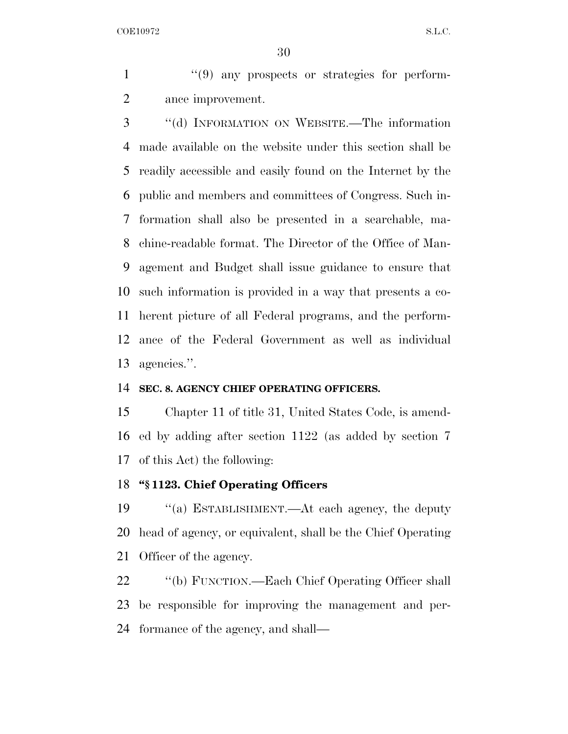1  $\frac{1}{2}$  (9) any prospects or strategies for perform-ance improvement.

 ''(d) INFORMATION ON WEBSITE.—The information made available on the website under this section shall be readily accessible and easily found on the Internet by the public and members and committees of Congress. Such in- formation shall also be presented in a searchable, ma- chine-readable format. The Director of the Office of Man- agement and Budget shall issue guidance to ensure that such information is provided in a way that presents a co- herent picture of all Federal programs, and the perform- ance of the Federal Government as well as individual agencies.''.

#### **SEC. 8. AGENCY CHIEF OPERATING OFFICERS.**

 Chapter 11 of title 31, United States Code, is amend- ed by adding after section 1122 (as added by section 7 of this Act) the following:

### **''§ 1123. Chief Operating Officers**

 ''(a) ESTABLISHMENT.—At each agency, the deputy head of agency, or equivalent, shall be the Chief Operating Officer of the agency.

22 ''(b) FUNCTION.—Each Chief Operating Officer shall be responsible for improving the management and per-formance of the agency, and shall—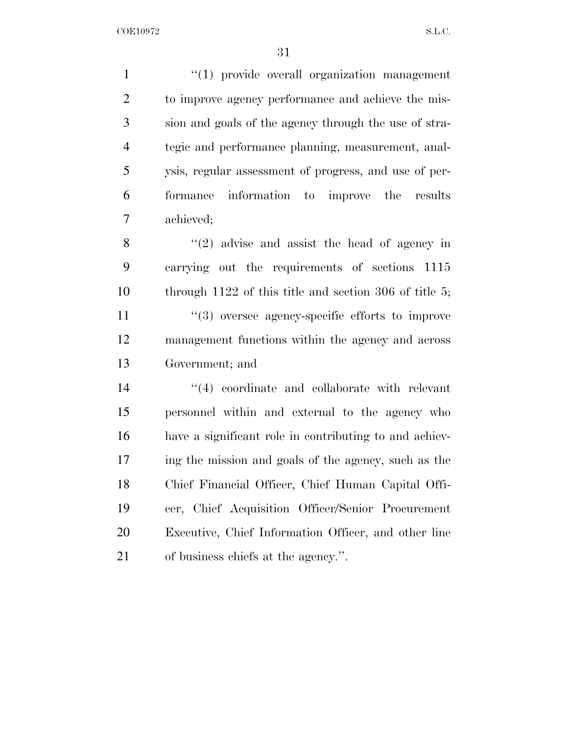$\frac{1}{2}$  (1) provide overall organization management to improve agency performance and achieve the mis- sion and goals of the agency through the use of stra- tegic and performance planning, measurement, anal- ysis, regular assessment of progress, and use of per- formance information to improve the results achieved;

 $\langle (2)$  advise and assist the head of agency in carrying out the requirements of sections 1115 through 1122 of this title and section 306 of title 5;  $\frac{1}{3}$  oversee agency-specific efforts to improve management functions within the agency and across Government; and

 $(4)$  coordinate and collaborate with relevant personnel within and external to the agency who have a significant role in contributing to and achiev- ing the mission and goals of the agency, such as the Chief Financial Officer, Chief Human Capital Offi- cer, Chief Acquisition Officer/Senior Procurement Executive, Chief Information Officer, and other line of business chiefs at the agency.''.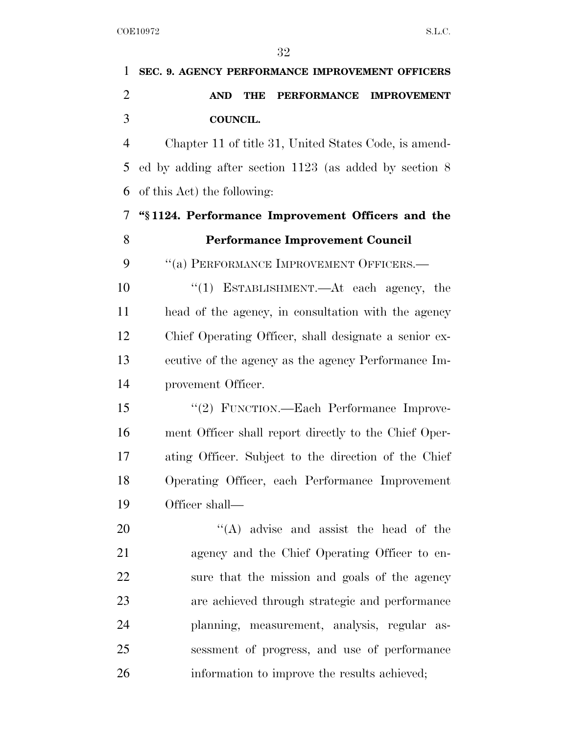| 1              | SEC. 9. AGENCY PERFORMANCE IMPROVEMENT OFFICERS                      |
|----------------|----------------------------------------------------------------------|
| $\overline{2}$ | <b>PERFORMANCE</b><br><b>IMPROVEMENT</b><br><b>AND</b><br><b>THE</b> |
| 3              | COUNCIL.                                                             |
| $\overline{4}$ | Chapter 11 of title 31, United States Code, is amend-                |
| 5              | ed by adding after section $1123$ (as added by section 8)            |
| 6              | of this Act) the following:                                          |
| 7              | "\\$1124. Performance Improvement Officers and the                   |
| 8              | <b>Performance Improvement Council</b>                               |
| 9              | "(a) PERFORMANCE IMPROVEMENT OFFICERS.-                              |
| 10             | " $(1)$ ESTABLISHMENT.—At each agency, the                           |
| 11             | head of the agency, in consultation with the agency                  |
| 12             | Chief Operating Officer, shall designate a senior ex-                |
| 13             | ecutive of the agency as the agency Performance Im-                  |
| 14             | provement Officer.                                                   |
| 15             | "(2) FUNCTION.—Each Performance Improve-                             |
| 16             | ment Officer shall report directly to the Chief Oper-                |
| 17             | ating Officer. Subject to the direction of the Chief                 |
| 18             | Operating Officer, each Performance Improvement                      |
| 19             | Officer shall—                                                       |
| 20             | $\lq\lq$ advise and assist the head of the                           |
| 21             | agency and the Chief Operating Officer to en-                        |
| 22             | sure that the mission and goals of the agency                        |
| 23             | are achieved through strategic and performance                       |
| 24             | planning, measurement, analysis, regular as-                         |
| 25             | sessment of progress, and use of performance                         |
| 26             | information to improve the results achieved;                         |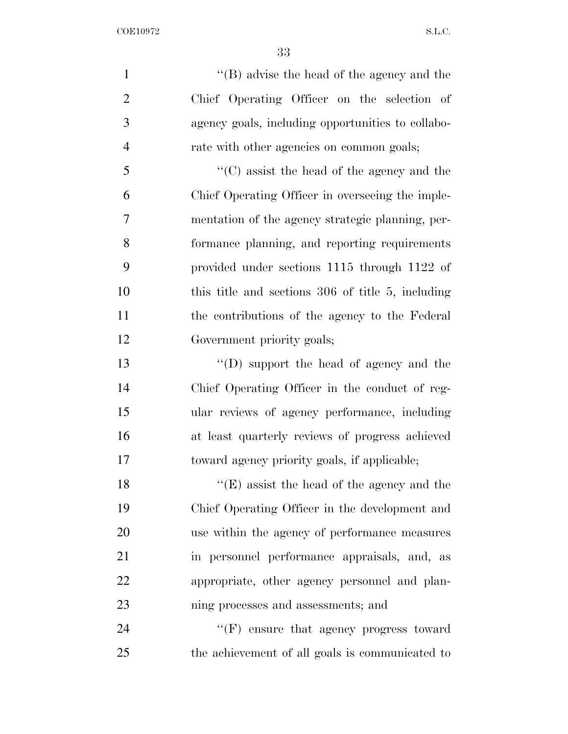1 ''(B) advise the head of the agency and the Chief Operating Officer on the selection of agency goals, including opportunities to collabo- rate with other agencies on common goals; ''(C) assist the head of the agency and the Chief Operating Officer in overseeing the imple-

 mentation of the agency strategic planning, per- formance planning, and reporting requirements provided under sections 1115 through 1122 of this title and sections 306 of title 5, including the contributions of the agency to the Federal Government priority goals;

 ''(D) support the head of agency and the Chief Operating Officer in the conduct of reg- ular reviews of agency performance, including at least quarterly reviews of progress achieved toward agency priority goals, if applicable;

18 ''(E) assist the head of the agency and the Chief Operating Officer in the development and use within the agency of performance measures in personnel performance appraisals, and, as appropriate, other agency personnel and plan-ning processes and assessments; and

24 "'(F) ensure that agency progress toward the achievement of all goals is communicated to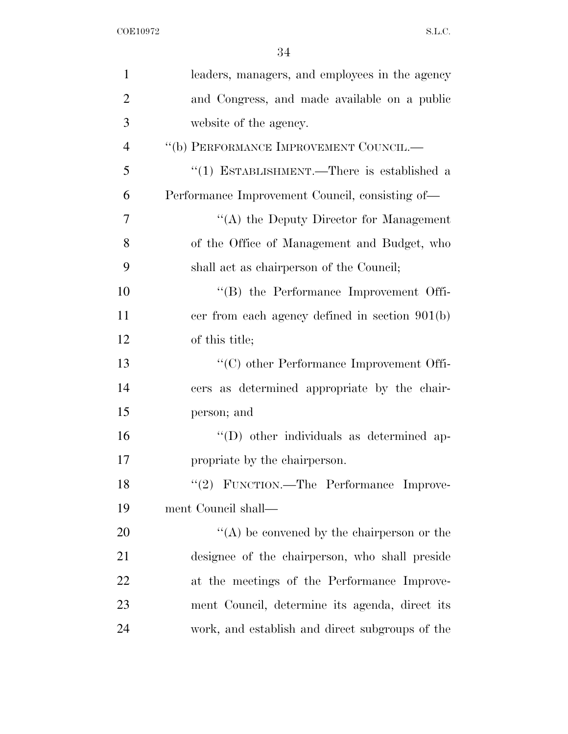| 1              | leaders, managers, and employees in the agency  |
|----------------|-------------------------------------------------|
| $\overline{2}$ | and Congress, and made available on a public    |
| 3              | website of the agency.                          |
| $\overline{4}$ | "(b) PERFORMANCE IMPROVEMENT COUNCIL.—          |
| 5              | "(1) ESTABLISHMENT.—There is established a      |
| 6              | Performance Improvement Council, consisting of— |
| 7              | "(A) the Deputy Director for Management         |
| 8              | of the Office of Management and Budget, who     |
| 9              | shall act as chairperson of the Council;        |
| 10             | $\lq\lq (B)$ the Performance Improvement Offi-  |
| 11             | cer from each agency defined in section 901(b)  |
| 12             | of this title;                                  |
| 13             | $\cdot$ (C) other Performance Improvement Offi- |
| 14             | cers as determined appropriate by the chair-    |
| 15             | person; and                                     |
| 16             | "(D) other individuals as determined ap-        |
| 17             | propriate by the chairperson.                   |
| 18             | "(2) FUNCTION.—The Performance Improve-         |
| 19             | ment Council shall—                             |
| 20             | $\lq\lq$ be convened by the chairperson or the  |
| 21             | designee of the chairperson, who shall preside  |
| 22             | at the meetings of the Performance Improve-     |
| 23             | ment Council, determine its agenda, direct its  |
| 24             | work, and establish and direct subgroups of the |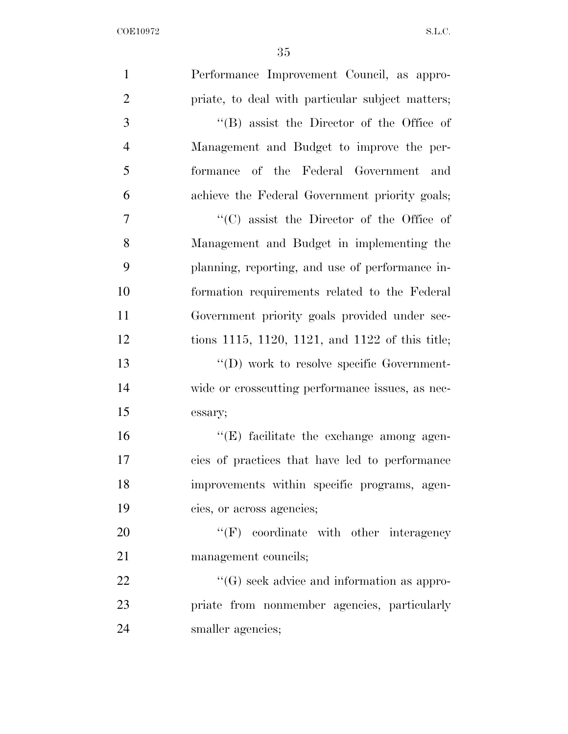| $\mathbf{1}$   | Performance Improvement Council, as appro-        |
|----------------|---------------------------------------------------|
| $\overline{2}$ | priate, to deal with particular subject matters;  |
| 3              | "(B) assist the Director of the Office of         |
| $\overline{4}$ | Management and Budget to improve the per-         |
| 5              | formance of the Federal Government and            |
| 6              | achieve the Federal Government priority goals;    |
| $\overline{7}$ | "(C) assist the Director of the Office of         |
| 8              | Management and Budget in implementing the         |
| 9              | planning, reporting, and use of performance in-   |
| 10             | formation requirements related to the Federal     |
| 11             | Government priority goals provided under sec-     |
| 12             | tions 1115, 1120, 1121, and 1122 of this title;   |
| 13             | "(D) work to resolve specific Government-         |
| 14             | wide or crosscutting performance issues, as nec-  |
| 15             | essary;                                           |
| 16             | $\lq\lq(E)$ facilitate the exchange among agen-   |
| 17             | cies of practices that have led to performance    |
| 18             | improvements within specific programs, agen-      |
| 19             | cies, or across agencies;                         |
| 20             | $``(F)$ coordinate with other interagency         |
| 21             | management councils;                              |
| 22             | $\lq\lq(G)$ seek advice and information as appro- |
| 23             | priate from nonmember agencies, particularly      |
| 24             | smaller agencies;                                 |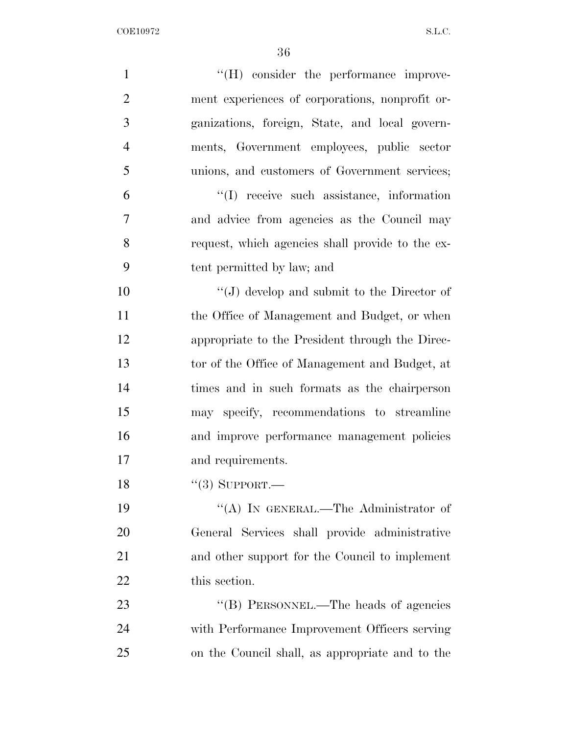| $\mathbf{1}$   | $\lq\lq(H)$ consider the performance improve-    |
|----------------|--------------------------------------------------|
| $\overline{2}$ | ment experiences of corporations, nonprofit or-  |
| 3              | ganizations, foreign, State, and local govern-   |
| $\overline{4}$ | ments, Government employees, public sector       |
| 5              | unions, and customers of Government services;    |
| 6              | "(I) receive such assistance, information        |
| 7              | and advice from agencies as the Council may      |
| 8              | request, which agencies shall provide to the ex- |
| 9              | tent permitted by law; and                       |
| 10             | "(J) develop and submit to the Director of       |
| 11             | the Office of Management and Budget, or when     |
| 12             | appropriate to the President through the Direc-  |
| 13             | tor of the Office of Management and Budget, at   |
| 14             | times and in such formats as the chairperson     |
| 15             | may specify, recommendations to streamline       |
| 16             | and improve performance management policies      |
| 17             | and requirements.                                |
| 18             | $``(3)$ SUPPORT.—                                |
| 19             | "(A) IN GENERAL.—The Administrator of            |
| 20             | General Services shall provide administrative    |
| 21             | and other support for the Council to implement   |
| 22             | this section.                                    |
| 23             | "(B) PERSONNEL.—The heads of agencies            |
| 24             | with Performance Improvement Officers serving    |
| 25             | on the Council shall, as appropriate and to the  |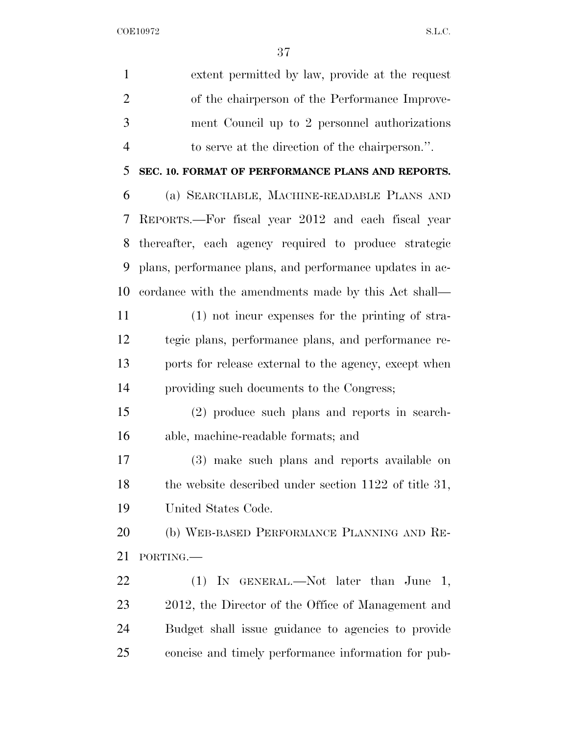| $\mathbf{1}$   | extent permitted by law, provide at the request          |
|----------------|----------------------------------------------------------|
| $\overline{2}$ | of the chairperson of the Performance Improve-           |
| 3              | ment Council up to 2 personnel authorizations            |
| $\overline{4}$ | to serve at the direction of the chairperson.".          |
| 5              | SEC. 10. FORMAT OF PERFORMANCE PLANS AND REPORTS.        |
| 6              | (a) SEARCHABLE, MACHINE-READABLE PLANS AND               |
| 7              | REPORTS.—For fiscal year 2012 and each fiscal year       |
| 8              | thereafter, each agency required to produce strategic    |
| 9              | plans, performance plans, and performance updates in ac- |
| 10             | cordance with the amendments made by this Act shall—     |
| 11             | (1) not incur expenses for the printing of stra-         |
| 12             | tegic plans, performance plans, and performance re-      |
| 13             | ports for release external to the agency, except when    |
| 14             | providing such documents to the Congress;                |
| 15             | (2) produce such plans and reports in search-            |
| 16             | able, machine-readable formats; and                      |
| 17             | (3) make such plans and reports available on             |
| 18             | the website described under section $1122$ of title 31,  |
| 19             | United States Code.                                      |
| 20             | (b) WEB-BASED PERFORMANCE PLANNING AND RE-               |
| 21             | PORTING.                                                 |
| 22             | (1) IN GENERAL.—Not later than June<br>1,                |
| 23             | 2012, the Director of the Office of Management and       |
| 24             | Budget shall issue guidance to agencies to provide       |
| 25             | concise and timely performance information for pub-      |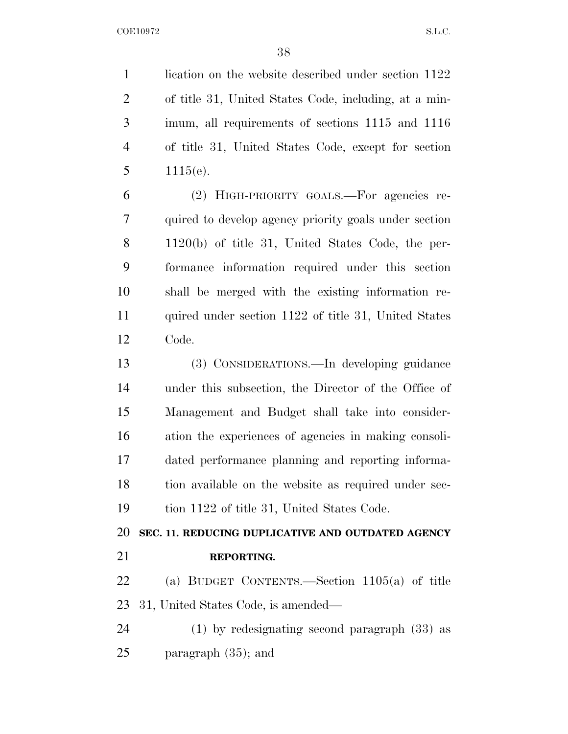1 lication on the website described under section 1122 of title 31, United States Code, including, at a min- imum, all requirements of sections 1115 and 1116 of title 31, United States Code, except for section 5  $1115(e)$ .

 (2) HIGH-PRIORITY GOALS.—For agencies re- quired to develop agency priority goals under section 1120(b) of title 31, United States Code, the per- formance information required under this section shall be merged with the existing information re-11 quired under section 1122 of title 31, United States Code.

 (3) CONSIDERATIONS.—In developing guidance under this subsection, the Director of the Office of Management and Budget shall take into consider- ation the experiences of agencies in making consoli- dated performance planning and reporting informa- tion available on the website as required under sec-tion 1122 of title 31, United States Code.

**SEC. 11. REDUCING DUPLICATIVE AND OUTDATED AGENCY** 

**REPORTING.** 

 (a) BUDGET CONTENTS.—Section 1105(a) of title 31, United States Code, is amended—

 (1) by redesignating second paragraph (33) as paragraph (35); and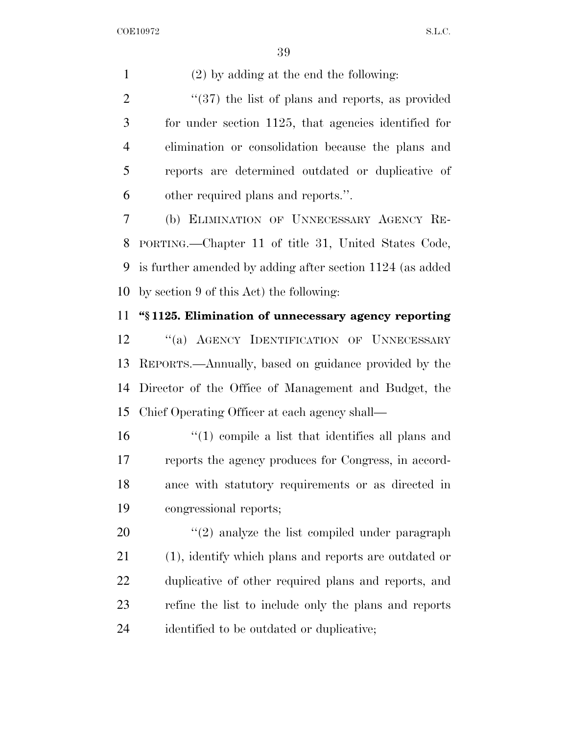(2) by adding at the end the following:

2 "(37) the list of plans and reports, as provided for under section 1125, that agencies identified for elimination or consolidation because the plans and reports are determined outdated or duplicative of other required plans and reports.''.

 (b) ELIMINATION OF UNNECESSARY AGENCY RE- PORTING.—Chapter 11 of title 31, United States Code, is further amended by adding after section 1124 (as added by section 9 of this Act) the following:

### **''§ 1125. Elimination of unnecessary agency reporting**

12 "(a) AGENCY IDENTIFICATION OF UNNECESSARY REPORTS.—Annually, based on guidance provided by the Director of the Office of Management and Budget, the Chief Operating Officer at each agency shall—

 ''(1) compile a list that identifies all plans and reports the agency produces for Congress, in accord- ance with statutory requirements or as directed in congressional reports;

 $\frac{1}{2}$  analyze the list compiled under paragraph (1), identify which plans and reports are outdated or duplicative of other required plans and reports, and refine the list to include only the plans and reports identified to be outdated or duplicative;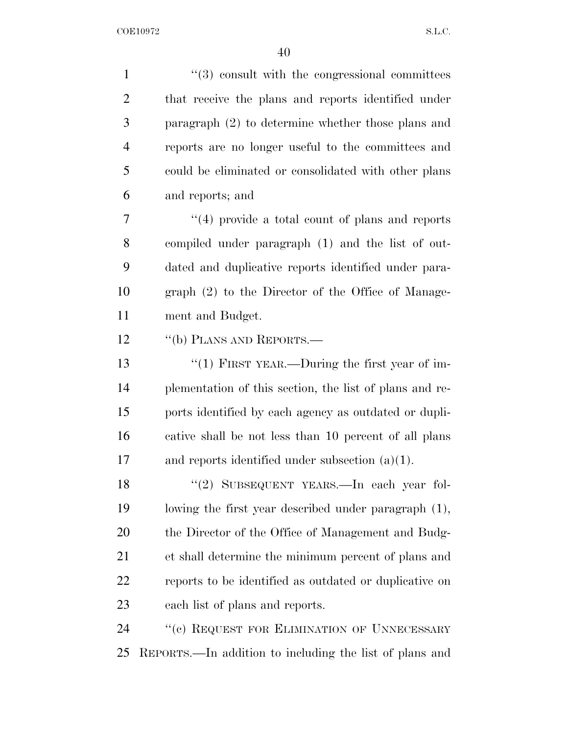| $\mathbf{1}$   | $\lq(3)$ consult with the congressional committees      |
|----------------|---------------------------------------------------------|
| $\overline{2}$ | that receive the plans and reports identified under     |
| $\mathfrak{Z}$ | paragraph $(2)$ to determine whether those plans and    |
| $\overline{4}$ | reports are no longer useful to the committees and      |
| 5              | could be eliminated or consolidated with other plans    |
| 6              | and reports; and                                        |
| 7              | $\lq(4)$ provide a total count of plans and reports     |
| 8              | compiled under paragraph (1) and the list of out-       |
| 9              | dated and duplicative reports identified under para-    |
| 10             | graph (2) to the Director of the Office of Manage-      |
| 11             | ment and Budget.                                        |
| 12             | "(b) PLANS AND REPORTS.—                                |
| 13             | " $(1)$ FIRST YEAR.—During the first year of im-        |
| 14             | plementation of this section, the list of plans and re- |
| 15             | ports identified by each agency as outdated or dupli-   |
| 16             | cative shall be not less than 10 percent of all plans   |
| 17             | and reports identified under subsection $(a)(1)$ .      |
| 18             | "(2) SUBSEQUENT YEARS. In each year fol-                |
| 19             | lowing the first year described under paragraph (1),    |
| 20             | the Director of the Office of Management and Budg-      |
| 21             | et shall determine the minimum percent of plans and     |
| 22             | reports to be identified as outdated or duplicative on  |
| 23             | each list of plans and reports.                         |
| 24             | "(c) REQUEST FOR ELIMINATION OF UNNECESSARY             |
| 25             | REPORTS.—In addition to including the list of plans and |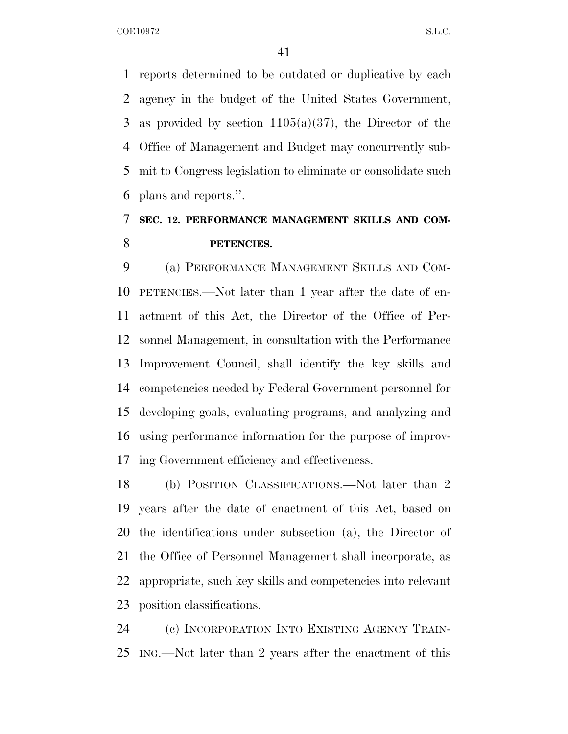reports determined to be outdated or duplicative by each agency in the budget of the United States Government, as provided by section 1105(a)(37), the Director of the Office of Management and Budget may concurrently sub- mit to Congress legislation to eliminate or consolidate such plans and reports.''.

## **SEC. 12. PERFORMANCE MANAGEMENT SKILLS AND COM-PETENCIES.**

 (a) PERFORMANCE MANAGEMENT SKILLS AND COM- PETENCIES.—Not later than 1 year after the date of en- actment of this Act, the Director of the Office of Per- sonnel Management, in consultation with the Performance Improvement Council, shall identify the key skills and competencies needed by Federal Government personnel for developing goals, evaluating programs, and analyzing and using performance information for the purpose of improv-ing Government efficiency and effectiveness.

 (b) POSITION CLASSIFICATIONS.—Not later than 2 years after the date of enactment of this Act, based on the identifications under subsection (a), the Director of the Office of Personnel Management shall incorporate, as appropriate, such key skills and competencies into relevant position classifications.

 (c) INCORPORATION INTO EXISTING AGENCY TRAIN-ING.—Not later than 2 years after the enactment of this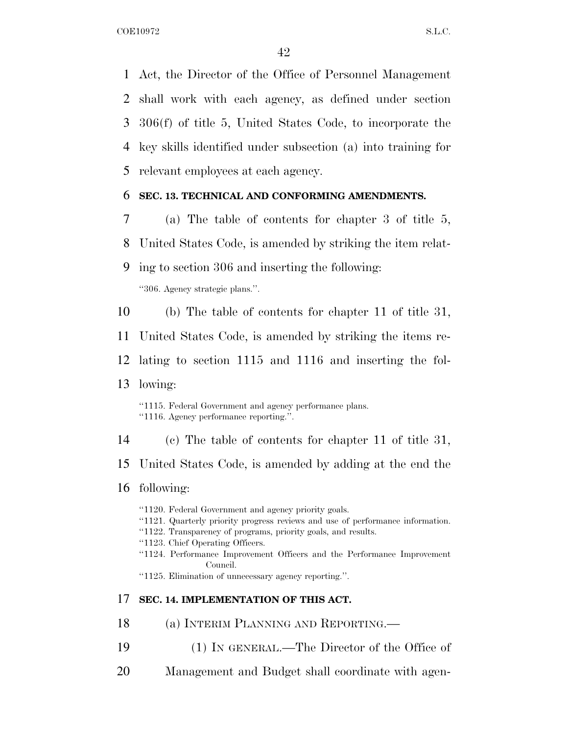Act, the Director of the Office of Personnel Management shall work with each agency, as defined under section 306(f) of title 5, United States Code, to incorporate the key skills identified under subsection (a) into training for relevant employees at each agency.

### **SEC. 13. TECHNICAL AND CONFORMING AMENDMENTS.**

- (a) The table of contents for chapter 3 of title 5,
- United States Code, is amended by striking the item relat-
- ing to section 306 and inserting the following:

''306. Agency strategic plans.''.

(b) The table of contents for chapter 11 of title 31,

United States Code, is amended by striking the items re-

- lating to section 1115 and 1116 and inserting the fol-
- lowing:

''1115. Federal Government and agency performance plans. ''1116. Agency performance reporting.''.

(c) The table of contents for chapter 11 of title 31,

United States Code, is amended by adding at the end the

### following:

- ''1120. Federal Government and agency priority goals.
- ''1121. Quarterly priority progress reviews and use of performance information.
- ''1122. Transparency of programs, priority goals, and results.
- ''1123. Chief Operating Officers.
- ''1124. Performance Improvement Officers and the Performance Improvement Council.

''1125. Elimination of unnecessary agency reporting.''.

### **SEC. 14. IMPLEMENTATION OF THIS ACT.**

- (a) INTERIM PLANNING AND REPORTING.—
- (1) IN GENERAL.—The Director of the Office of
- Management and Budget shall coordinate with agen-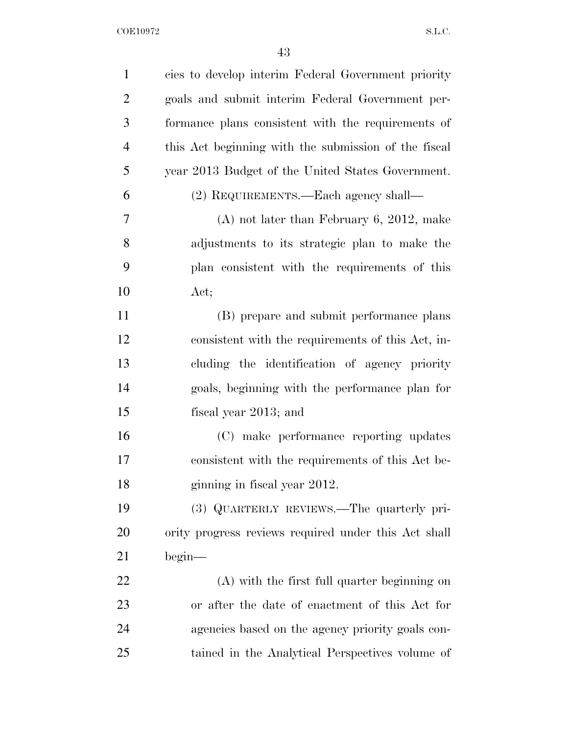| $\mathbf{1}$   | cies to develop interim Federal Government priority  |
|----------------|------------------------------------------------------|
| $\overline{2}$ | goals and submit interim Federal Government per-     |
| 3              | formance plans consistent with the requirements of   |
| $\overline{4}$ | this Act beginning with the submission of the fiscal |
| 5              | year 2013 Budget of the United States Government.    |
| 6              | (2) REQUIREMENTS.—Each agency shall—                 |
| 7              | $(A)$ not later than February 6, 2012, make          |
| 8              | adjustments to its strategic plan to make the        |
| 9              | plan consistent with the requirements of this        |
| 10             | Act;                                                 |
| 11             | (B) prepare and submit performance plans             |
| 12             | consistent with the requirements of this Act, in-    |
| 13             | cluding the identification of agency priority        |
| 14             | goals, beginning with the performance plan for       |
| 15             | fiscal year 2013; and                                |
| 16             | (C) make performance reporting updates               |
| 17             | consistent with the requirements of this Act be-     |
| 18             | ginning in fiscal year 2012.                         |
| 19             | (3) QUARTERLY REVIEWS.—The quarterly pri-            |
| 20             | ority progress reviews required under this Act shall |
| 21             | begin <sub>1</sub>                                   |
| 22             | $(A)$ with the first full quarter beginning on       |
| 23             | or after the date of enactment of this Act for       |
| 24             | agencies based on the agency priority goals con-     |
| 25             | tained in the Analytical Perspectives volume of      |
|                |                                                      |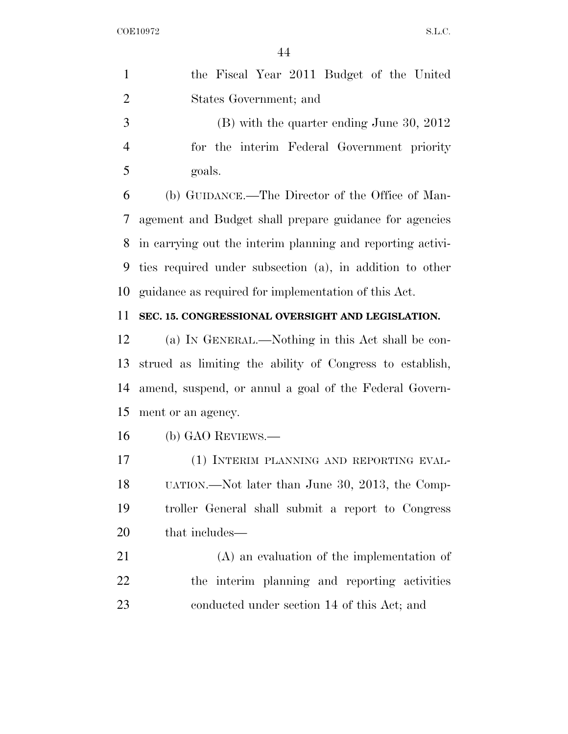| $\mathbf{1}$   | the Fiscal Year 2011 Budget of the United                  |
|----------------|------------------------------------------------------------|
| $\overline{2}$ | States Government; and                                     |
| 3              | $(B)$ with the quarter ending June 30, 2012                |
| $\overline{4}$ | for the interim Federal Government priority                |
| 5              | goals.                                                     |
| 6              | (b) GUIDANCE.—The Director of the Office of Man-           |
| 7              | agement and Budget shall prepare guidance for agencies     |
| 8              | in carrying out the interim planning and reporting activi- |
| 9              | ties required under subsection (a), in addition to other   |
| 10             | guidance as required for implementation of this Act.       |
| 11             | SEC. 15. CONGRESSIONAL OVERSIGHT AND LEGISLATION.          |
| 12             | (a) IN GENERAL.—Nothing in this Act shall be con-          |
| 13             | strued as limiting the ability of Congress to establish,   |
| 14             | amend, suspend, or annul a goal of the Federal Govern-     |
| 15             | ment or an agency.                                         |
| 16             | (b) GAO REVIEWS.—                                          |
| 17             | (1) INTERIM PLANNING AND REPORTING EVAL-                   |
| 18             | UATION.—Not later than June 30, 2013, the Comp-            |
| 19             | troller General shall submit a report to Congress          |
| 20             | that includes—                                             |
| 21             | $(A)$ an evaluation of the implementation of               |
| 22             | the interim planning and reporting activities              |
| 23             | conducted under section 14 of this Act; and                |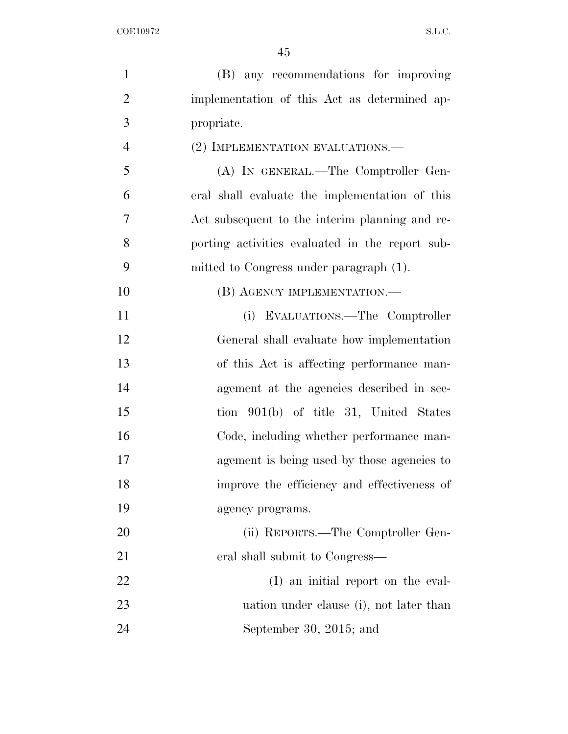| $\mathbf{1}$   | (B) any recommendations for improving           |
|----------------|-------------------------------------------------|
| $\overline{2}$ | implementation of this Act as determined ap-    |
| 3              | propriate.                                      |
| $\overline{4}$ | (2) IMPLEMENTATION EVALUATIONS.—                |
| 5              | (A) IN GENERAL.—The Comptroller Gen-            |
| 6              | eral shall evaluate the implementation of this  |
| $\overline{7}$ | Act subsequent to the interim planning and re-  |
| 8              | porting activities evaluated in the report sub- |
| 9              | mitted to Congress under paragraph (1).         |
| 10             | (B) AGENCY IMPLEMENTATION.—                     |
| 11             | (i) EVALUATIONS.—The Comptroller                |
| 12             | General shall evaluate how implementation       |
| 13             | of this Act is affecting performance man-       |
| 14             | agement at the agencies described in sec-       |
| 15             | tion 901(b) of title 31, United States          |
| 16             | Code, including whether performance man-        |
| 17             | agement is being used by those agencies to      |
| 18             | improve the efficiency and effectiveness of     |
| 19             | agency programs.                                |
| 20             | (ii) REPORTS.—The Comptroller Gen-              |
| 21             | eral shall submit to Congress—                  |
| 22             | (I) an initial report on the eval-              |
| 23             | uation under clause (i), not later than         |
| 24             | September 30, 2015; and                         |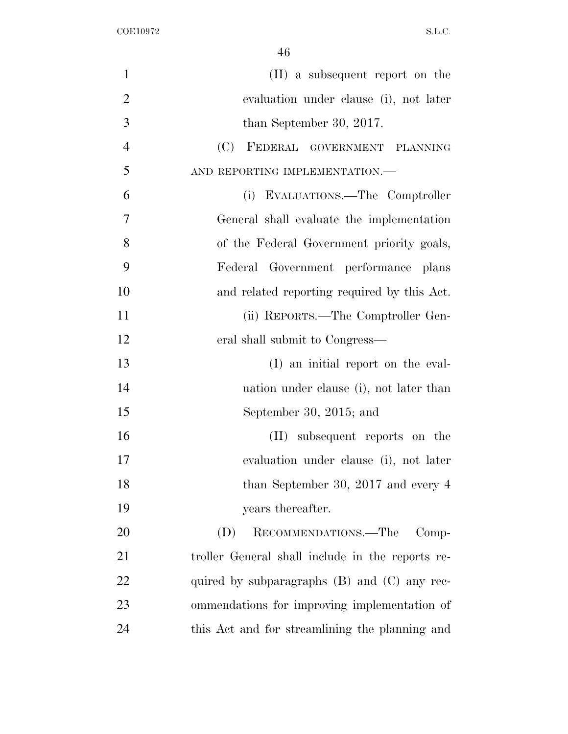| $\mathbf{1}$   | (II) a subsequent report on the                  |
|----------------|--------------------------------------------------|
| $\overline{2}$ | evaluation under clause (i), not later           |
| 3              | than September 30, 2017.                         |
| $\overline{4}$ | (C) FEDERAL GOVERNMENT PLANNING                  |
| 5              | AND REPORTING IMPLEMENTATION.-                   |
| 6              | (i) EVALUATIONS.—The Comptroller                 |
| 7              | General shall evaluate the implementation        |
| 8              | of the Federal Government priority goals,        |
| 9              | Federal Government performance plans             |
| 10             | and related reporting required by this Act.      |
| 11             | (ii) REPORTS.—The Comptroller Gen-               |
| 12             | eral shall submit to Congress—                   |
| 13             | (I) an initial report on the eval-               |
| 14             | uation under clause (i), not later than          |
| 15             | September 30, 2015; and                          |
| 16             | (II) subsequent reports on the                   |
| 17             | evaluation under clause (i), not later           |
| 18             | than September 30, 2017 and every $4$            |
| 19             | years thereafter.                                |
| 20             | RECOMMENDATIONS.—The<br>(D)<br>$Comp-$           |
| 21             | troller General shall include in the reports re- |
| 22             | quired by subparagraphs $(B)$ and $(C)$ any rec- |
| 23             | ommendations for improving implementation of     |
| 24             | this Act and for streamlining the planning and   |